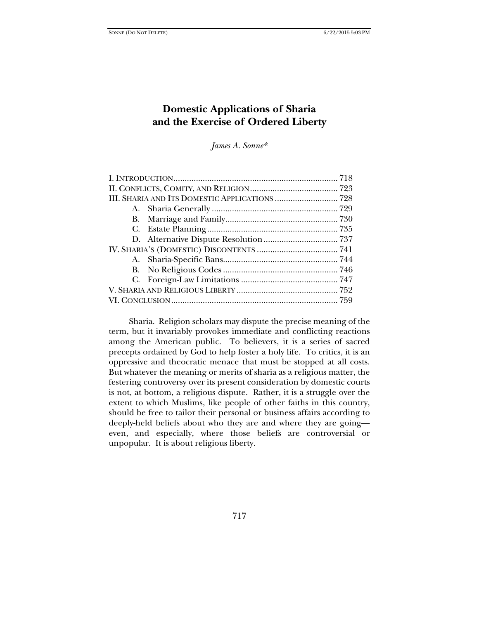# **Domestic Applications of Sharia and the Exercise of Ordered Liberty**

*James A. Sonne\** 

 Sharia. Religion scholars may dispute the precise meaning of the term, but it invariably provokes immediate and conflicting reactions among the American public. To believers, it is a series of sacred precepts ordained by God to help foster a holy life. To critics, it is an oppressive and theocratic menace that must be stopped at all costs. But whatever the meaning or merits of sharia as a religious matter, the festering controversy over its present consideration by domestic courts is not, at bottom, a religious dispute. Rather, it is a struggle over the extent to which Muslims, like people of other faiths in this country, should be free to tailor their personal or business affairs according to deeply-held beliefs about who they are and where they are going even, and especially, where those beliefs are controversial or unpopular. It is about religious liberty.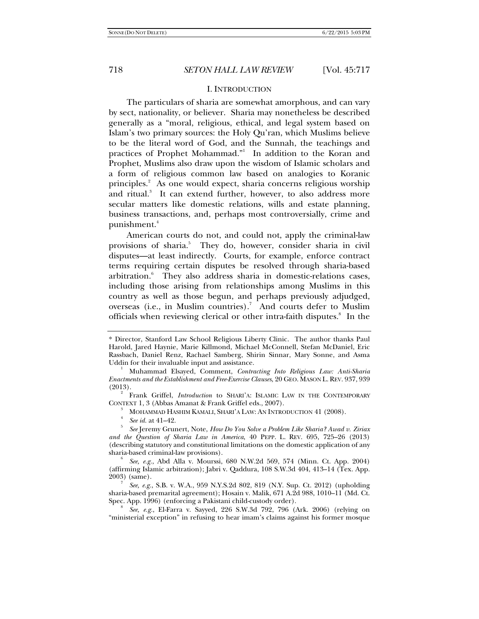# I. INTRODUCTION

The particulars of sharia are somewhat amorphous, and can vary by sect, nationality, or believer. Sharia may nonetheless be described generally as a "moral, religious, ethical, and legal system based on Islam's two primary sources: the Holy Qu'ran, which Muslims believe to be the literal word of God, and the Sunnah, the teachings and practices of Prophet Mohammad."<sup>1</sup> In addition to the Koran and Prophet, Muslims also draw upon the wisdom of Islamic scholars and a form of religious common law based on analogies to Koranic principles.<sup>2</sup> As one would expect, sharia concerns religious worship and ritual.<sup>3</sup> It can extend further, however, to also address more secular matters like domestic relations, wills and estate planning, business transactions, and, perhaps most controversially, crime and punishment.4

American courts do not, and could not, apply the criminal-law provisions of sharia.<sup>5</sup> They do, however, consider sharia in civil disputes—at least indirectly. Courts, for example, enforce contract terms requiring certain disputes be resolved through sharia-based arbitration.<sup>6</sup> They also address sharia in domestic-relations cases, including those arising from relationships among Muslims in this country as well as those begun, and perhaps previously adjudged, overseas (i.e., in Muslim countries).<sup>7</sup> And courts defer to Muslim officials when reviewing clerical or other intra-faith disputes.<sup>8</sup> In the

 Frank Griffel, *Introduction* to SHARI'A: ISLAMIC LAW IN THE CONTEMPORARY CONTEXT 1, 3 (Abbas Amanat & Frank Griffel eds., 2007).

MOHAMMAD HASHIM KAMALI, SHARI'A LAW: AN INTRODUCTION 41 (2008). 4

*See id.* at 41-42.

<sup>\*</sup> Director, Stanford Law School Religious Liberty Clinic. The author thanks Paul Harold, Jared Haynie, Marie Killmond, Michael McConnell, Stefan McDaniel, Eric Rassbach, Daniel Renz, Rachael Samberg, Shirin Sinnar, Mary Sonne, and Asma Uddin for their invaluable input and assistance.

Muhammad Elsayed, Comment, *Contracting Into Religious Law: Anti-Sharia Enactments and the Establishment and Free-Exercise Clauses*, 20 GEO. MASON L. REV. 937, 939  $(2013).$ 

*See* Jeremy Grunert, Note, *How Do You Solve a Problem Like Sharia? Awad v. Ziriax and the Question of Sharia Law in America*, 40 PEPP. L. REV. 695, 725–26 (2013) (describing statutory and constitutional limitations on the domestic application of any sharia-based criminal-law provisions). <sup>6</sup>

*See, e.g.*, Abd Alla v. Mourssi, 680 N.W.2d 569, 574 (Minn. Ct. App. 2004) (affirming Islamic arbitration); Jabri v. Qaddura, 108 S.W.3d 404, 413–14 (Tex. App. 2003) (same). 7

*See, e.g.*, S.B. v. W.A., 959 N.Y.S.2d 802, 819 (N.Y. Sup. Ct. 2012) (upholding sharia-based premarital agreement); Hosain v. Malik, 671 A.2d 988, 1010–11 (Md. Ct. Spec. App. 1996) (enforcing a Pakistani child-custody order).

*See, e.g.*, El-Farra v. Sayyed, 226 S.W.3d 792, 796 (Ark. 2006) (relying on "ministerial exception" in refusing to hear imam's claims against his former mosque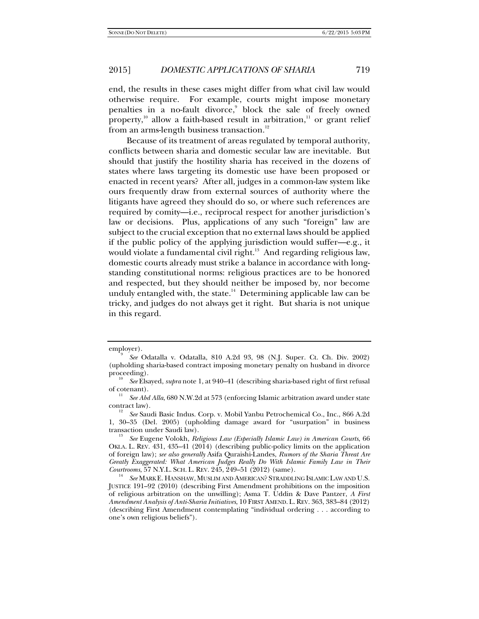end, the results in these cases might differ from what civil law would otherwise require. For example, courts might impose monetary penalties in a no-fault divorce,<sup>9</sup> block the sale of freely owned property,<sup>10</sup> allow a faith-based result in arbitration,<sup>11</sup> or grant relief from an arms-length business transaction.<sup>12</sup>

Because of its treatment of areas regulated by temporal authority, conflicts between sharia and domestic secular law are inevitable. But should that justify the hostility sharia has received in the dozens of states where laws targeting its domestic use have been proposed or enacted in recent years? After all, judges in a common-law system like ours frequently draw from external sources of authority where the litigants have agreed they should do so, or where such references are required by comity—i.e., reciprocal respect for another jurisdiction's law or decisions. Plus, applications of any such "foreign" law are subject to the crucial exception that no external laws should be applied if the public policy of the applying jurisdiction would suffer—e.g., it would violate a fundamental civil right.<sup>13</sup> And regarding religious law, domestic courts already must strike a balance in accordance with longstanding constitutional norms: religious practices are to be honored and respected, but they should neither be imposed by, nor become unduly entangled with, the state. $14$  Determining applicable law can be tricky, and judges do not always get it right. But sharia is not unique in this regard.

employer).

*See* Odatalla v. Odatalla, 810 A.2d 93, 98 (N.J. Super. Ct. Ch. Div. 2002) (upholding sharia-based contract imposing monetary penalty on husband in divorce proceeding).

*See* Elsayed, *supra* note 1, at 940–41 (describing sharia-based right of first refusal of cotenant). 11 *See Abd Alla*, 680 N.W.2d at 573 (enforcing Islamic arbitration award under state

contract law).

*See* Saudi Basic Indus. Corp. v. Mobil Yanbu Petrochemical Co., Inc., 866 A.2d 1, 30–35 (Del. 2005) (upholding damage award for "usurpation" in business transaction under Saudi law).

*See* Eugene Volokh, *Religious Law (Especially Islamic Law) in American Courts*, 66 OKLA. L. REV. 431, 435–41 (2014) (describing public-policy limits on the application of foreign law); *see also generally* Asifa Quraishi-Landes, *Rumors of the Sharia Threat Are Greatly Exaggerated: What American Judges Really Do With Islamic Family Law in Their Courtrooms*, 57 N.Y.L. SCH. L. REV. 245, 249-51 (2012) (same).

*See* MARK E. HANSHAW, MUSLIM AND AMERICAN? STRADDLING ISLAMIC LAW AND U.S. JUSTICE 191–92 (2010) (describing First Amendment prohibitions on the imposition of religious arbitration on the unwilling); Asma T. Uddin & Dave Pantzer, *A First Amendment Analysis of Anti-Sharia Initiatives*, 10 FIRST AMEND. L.REV. 363, 383–84 (2012) (describing First Amendment contemplating "individual ordering . . . according to one's own religious beliefs").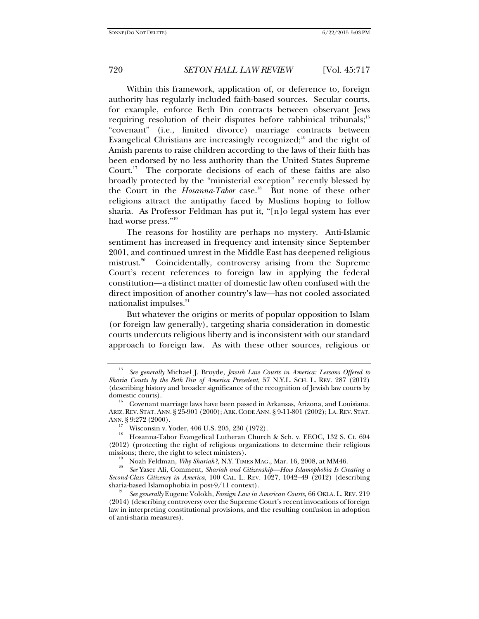Within this framework, application of, or deference to, foreign authority has regularly included faith-based sources. Secular courts, for example, enforce Beth Din contracts between observant Jews requiring resolution of their disputes before rabbinical tribunals;<sup>15</sup> "covenant" (i.e., limited divorce) marriage contracts between Evangelical Christians are increasingly recognized;<sup>16</sup> and the right of Amish parents to raise children according to the laws of their faith has been endorsed by no less authority than the United States Supreme Court.<sup>17</sup> The corporate decisions of each of these faiths are also broadly protected by the "ministerial exception" recently blessed by the Court in the *Hosanna-Tabor* case.<sup>18</sup> But none of these other religions attract the antipathy faced by Muslims hoping to follow sharia. As Professor Feldman has put it, "[n]o legal system has ever had worse press."19

The reasons for hostility are perhaps no mystery. Anti-Islamic sentiment has increased in frequency and intensity since September 2001, and continued unrest in the Middle East has deepened religious mistrust.<sup>20</sup> Coincidentally, controversy arising from the Supreme Court's recent references to foreign law in applying the federal constitution—a distinct matter of domestic law often confused with the direct imposition of another country's law—has not cooled associated nationalist impulses.<sup>21</sup>

But whatever the origins or merits of popular opposition to Islam (or foreign law generally), targeting sharia consideration in domestic courts undercuts religious liberty and is inconsistent with our standard approach to foreign law. As with these other sources, religious or

<sup>15</sup> *See generally* Michael J. Broyde, *Jewish Law Courts in America: Lessons Offered to Sharia Courts by the Beth Din of America Precedent*, 57 N.Y.L. SCH. L. REV. 287 (2012) (describing history and broader significance of the recognition of Jewish law courts by domestic courts).<br><sup>16</sup> Covenant marriage laws have been passed in Arkansas, Arizona, and Louisiana.

ARIZ.REV. STAT.ANN. § 25-901 (2000); ARK.CODE ANN. § 9-11-801 (2002); LA.REV. STAT. ANN. § 9:272 (2000).<br><sup>17</sup> Wisconsin v. Yoder, 406 U.S. 205, 230 (1972).

<sup>18</sup> Hosanna-Tabor Evangelical Lutheran Church & Sch. v. EEOC, 132 S. Ct. 694 (2012) (protecting the right of religious organizations to determine their religious missions; there, the right to select ministers).<br><sup>19</sup> Noah Feldman, *Why Shariah?*, N.Y. TIMES MAG., Mar. 16, 2008, at MM46.<br><sup>20</sup> See Yease Ali, Comment, Shariah and Citionship, *Ham Idamshekia Is Cu* 

*See* Yaser Ali, Comment, *Shariah and Citizenship—How Islamophobia Is Creating a Second-Class Citizenry in America*, 100 CAL. L. REV. 1027, 1042–49 (2012) (describing sharia-based Islamophobia in post-9/11 context).

See generally Eugene Volokh, *Foreign Law in American Courts*, 66 OKLA. L. REV. 219 (2014) (describing controversy over the Supreme Court's recent invocations of foreign law in interpreting constitutional provisions, and the resulting confusion in adoption of anti-sharia measures).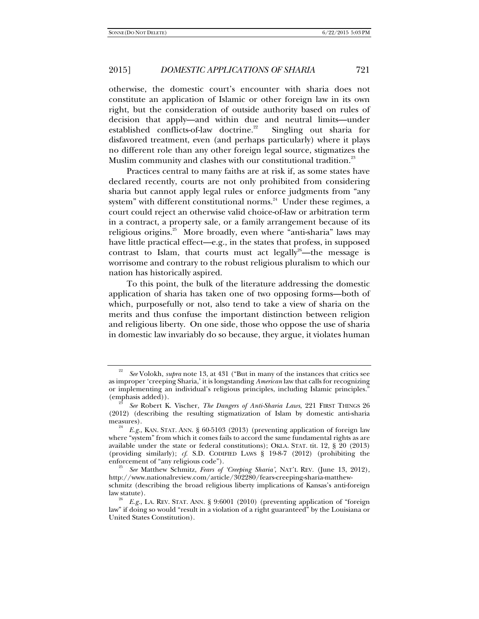otherwise, the domestic court's encounter with sharia does not constitute an application of Islamic or other foreign law in its own right, but the consideration of outside authority based on rules of decision that apply—and within due and neutral limits—under established conflicts-of-law doctrine.<sup>22</sup> Singling out sharia for disfavored treatment, even (and perhaps particularly) where it plays no different role than any other foreign legal source, stigmatizes the Muslim community and clashes with our constitutional tradition.<sup>23</sup>

Practices central to many faiths are at risk if, as some states have declared recently, courts are not only prohibited from considering sharia but cannot apply legal rules or enforce judgments from "any system" with different constitutional norms.<sup>24</sup> Under these regimes, a court could reject an otherwise valid choice-of-law or arbitration term in a contract, a property sale, or a family arrangement because of its religious origins.<sup>25</sup> More broadly, even where "anti-sharia" laws may have little practical effect—e.g., in the states that profess, in supposed contrast to Islam, that courts must act legally<sup>26</sup>—the message is worrisome and contrary to the robust religious pluralism to which our nation has historically aspired.

To this point, the bulk of the literature addressing the domestic application of sharia has taken one of two opposing forms—both of which, purposefully or not, also tend to take a view of sharia on the merits and thus confuse the important distinction between religion and religious liberty. On one side, those who oppose the use of sharia in domestic law invariably do so because, they argue, it violates human

<sup>22</sup> *See* Volokh, *supra* note 13, at 431 ("But in many of the instances that critics see as improper 'creeping Sharia,' it is longstanding *American* law that calls for recognizing or implementing an individual's religious principles, including Islamic principles." (emphasis added)). 23 *See* Robert K. Vischer, *The Dangers of Anti-Sharia Laws*, 221 FIRST THINGS 26

<sup>(2012) (</sup>describing the resulting stigmatization of Islam by domestic anti-sharia measures).<br><sup>24</sup> *E.g.*, KAN. STAT. ANN. § 60-5103 (2013) (preventing application of foreign law

where "system" from which it comes fails to accord the same fundamental rights as are available under the state or federal constitutions); OKLA. STAT. tit. 12, § 20 (2013) (providing similarly); *cf*. S.D. CODIFIED LAWS § 19-8-7 (2012) (prohibiting the enforcement of "any religious code").

*See* Matthew Schmitz, *Fears of 'Creeping Sharia'*, NAT'L REV. (June 13, 2012), http://www.nationalreview.com/article/302280/fears-creeping-sharia-matthewschmitz (describing the broad religious liberty implications of Kansas's anti-foreign

E.g., LA. REV. STAT. ANN. § 9:6001 (2010) (preventing application of "foreign law" if doing so would "result in a violation of a right guaranteed" by the Louisiana or United States Constitution).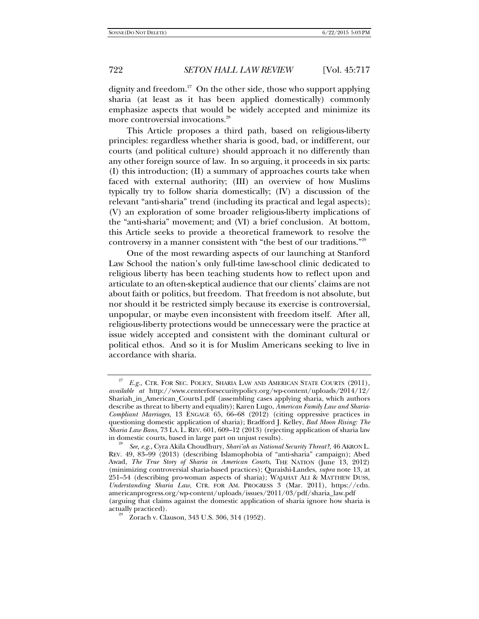dignity and freedom.<sup>27</sup> On the other side, those who support applying sharia (at least as it has been applied domestically) commonly emphasize aspects that would be widely accepted and minimize its more controversial invocations.<sup>28</sup>

This Article proposes a third path, based on religious-liberty principles: regardless whether sharia is good, bad, or indifferent, our courts (and political culture) should approach it no differently than any other foreign source of law. In so arguing, it proceeds in six parts: (I) this introduction; (II) a summary of approaches courts take when faced with external authority; (III) an overview of how Muslims typically try to follow sharia domestically; (IV) a discussion of the relevant "anti-sharia" trend (including its practical and legal aspects); (V) an exploration of some broader religious-liberty implications of the "anti-sharia" movement; and (VI) a brief conclusion. At bottom, this Article seeks to provide a theoretical framework to resolve the controversy in a manner consistent with "the best of our traditions."29

One of the most rewarding aspects of our launching at Stanford Law School the nation's only full-time law-school clinic dedicated to religious liberty has been teaching students how to reflect upon and articulate to an often-skeptical audience that our clients' claims are not about faith or politics, but freedom. That freedom is not absolute, but nor should it be restricted simply because its exercise is controversial, unpopular, or maybe even inconsistent with freedom itself. After all, religious-liberty protections would be unnecessary were the practice at issue widely accepted and consistent with the dominant cultural or political ethos. And so it is for Muslim Americans seeking to live in accordance with sharia.

E.g., CTR. FOR SEC. POLICY, SHARIA LAW AND AMERICAN STATE COURTS (2011), *available at* http://www.centerforsecuritypolicy.org/wp-content/uploads/2014/12/ Shariah\_in\_American\_Courts1.pdf (assembling cases applying sharia, which authors describe as threat to liberty and equality); Karen Lugo, *American Family Law and Sharia-Compliant Marriages*, 13 ENGAGE 65, 66–68 (2012) (citing oppressive practices in questioning domestic application of sharia); Bradford J. Kelley, *Bad Moon Rising: The Sharia Law Bans*, 73 LA. L. REV. 601, 609–12 (2013) (rejecting application of sharia law in domestic courts, based in large part on unjust results).

*See, e.g.*, Cyra Akila Choudhury, *Shari'ah as National Security Threat?*, 46 AKRON L. REV. 49, 83–99 (2013) (describing Islamophobia of "anti-sharia" campaign); Abed Awad, *The True Story of Sharia in American Courts*, THE NATION (June 13, 2012) (minimizing controversial sharia-based practices); Quraishi-Landes, *supra* note 13, at 251–54 (describing pro-woman aspects of sharia); WAJAHAT ALI & MATTHEW DUSS, *Understanding Sharia Law*, CTR. FOR AM. PROGRESS 3 (Mar. 2011), https://cdn. americanprogress.org/wp-content/uploads/issues/2011/03/pdf/sharia\_law.pdf (arguing that claims against the domestic application of sharia ignore how sharia is

actually practiced).  $\frac{29}{2}$  Zorach v. Clauson, 343 U.S. 306, 314 (1952).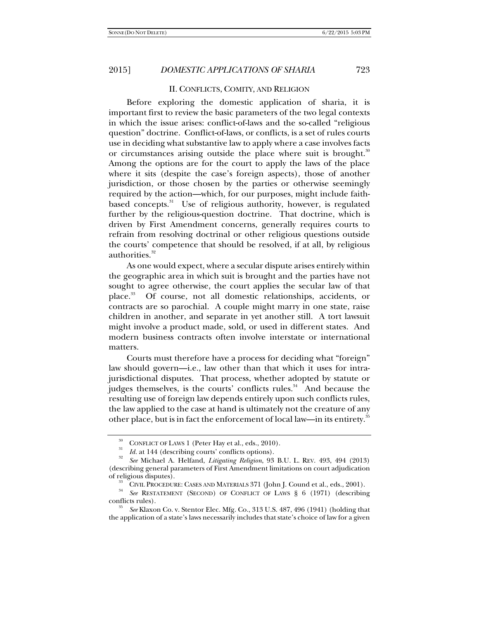### II. CONFLICTS, COMITY, AND RELIGION

Before exploring the domestic application of sharia, it is important first to review the basic parameters of the two legal contexts in which the issue arises: conflict-of-laws and the so-called "religious question" doctrine. Conflict-of-laws, or conflicts, is a set of rules courts use in deciding what substantive law to apply where a case involves facts or circumstances arising outside the place where suit is brought.<sup>30</sup> Among the options are for the court to apply the laws of the place where it sits (despite the case's foreign aspects), those of another jurisdiction, or those chosen by the parties or otherwise seemingly required by the action—which, for our purposes, might include faithbased concepts.<sup>31</sup> Use of religious authority, however, is regulated further by the religious-question doctrine. That doctrine, which is driven by First Amendment concerns, generally requires courts to refrain from resolving doctrinal or other religious questions outside the courts' competence that should be resolved, if at all, by religious authorities.<sup>32</sup>

As one would expect, where a secular dispute arises entirely within the geographic area in which suit is brought and the parties have not sought to agree otherwise, the court applies the secular law of that place.33 Of course, not all domestic relationships, accidents, or contracts are so parochial. A couple might marry in one state, raise children in another, and separate in yet another still. A tort lawsuit might involve a product made, sold, or used in different states. And modern business contracts often involve interstate or international matters.

Courts must therefore have a process for deciding what "foreign" law should govern—i.e., law other than that which it uses for intrajurisdictional disputes. That process, whether adopted by statute or judges themselves, is the courts' conflicts rules.<sup>34</sup> And because the resulting use of foreign law depends entirely upon such conflicts rules, the law applied to the case at hand is ultimately not the creature of any other place, but is in fact the enforcement of local law—in its entirety.<sup>35</sup>

CONFLICT OF LAWS 1 (Peter Hay et al., eds., 2010). *Id.* at 144 (describing courts' conflicts options).

*See* Michael A. Helfand, *Litigating Religion*, 93 B.U. L. REV. 493, 494 (2013) (describing general parameters of First Amendment limitations on court adjudication

<sup>&</sup>lt;sup>33</sup> CIVIL PROCEDURE: CASES AND MATERIALS 371 (John J. Cound et al., eds., 2001). <br><sup>34</sup> *See* RESTATEMENT (SECOND) OF CONFLICT OF LAWS § 6 (1971) (describing conflicts rules).

*See* Klaxon Co. v. Stentor Elec. Mfg. Co., 313 U.S. 487, 496 (1941) (holding that the application of a state's laws necessarily includes that state's choice of law for a given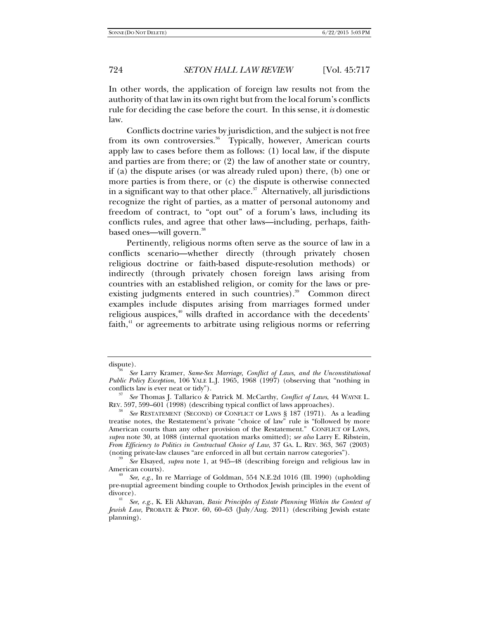In other words, the application of foreign law results not from the authority of that law in its own right but from the local forum's conflicts rule for deciding the case before the court. In this sense, it *is* domestic law.

Conflicts doctrine varies by jurisdiction, and the subject is not free from its own controversies.<sup>36</sup> Typically, however, American courts apply law to cases before them as follows: (1) local law, if the dispute and parties are from there; or (2) the law of another state or country, if (a) the dispute arises (or was already ruled upon) there, (b) one or more parties is from there, or (c) the dispute is otherwise connected in a significant way to that other place. $37$  Alternatively, all jurisdictions recognize the right of parties, as a matter of personal autonomy and freedom of contract, to "opt out" of a forum's laws, including its conflicts rules, and agree that other laws—including, perhaps, faithbased ones—will govern.<sup>38</sup>

Pertinently, religious norms often serve as the source of law in a conflicts scenario—whether directly (through privately chosen religious doctrine or faith-based dispute-resolution methods) or indirectly (through privately chosen foreign laws arising from countries with an established religion, or comity for the laws or preexisting judgments entered in such countries).<sup>39</sup> Common direct examples include disputes arising from marriages formed under religious auspices,<sup>40</sup> wills drafted in accordance with the decedents' faith, $41$  or agreements to arbitrate using religious norms or referring

dispute). 36 *See* Larry Kramer, *Same-Sex Marriage, Conflict of Laws, and the Unconstitutional Public Policy Exception*, 106 YALE L.J. 1965, 1968 (1997) (observing that "nothing in conflicts law is ever neat or tidy").

*See* Thomas J. Tallarico & Patrick M. McCarthy, *Conflict of Laws*, 44 WAYNE L. REV. 597, 599–601 (1998) (describing typical conflict of laws approaches).

<sup>38</sup> *See* RESTATEMENT (SECOND) OF CONFLICT OF LAWS § 187 (1971). As a leading treatise notes, the Restatement's private "choice of law" rule is "followed by more American courts than any other provision of the Restatement." CONFLICT OF LAWS, *supra* note 30, at 1088 (internal quotation marks omitted); *see also* Larry E. Ribstein, *From Efficiency to Politics in Contractual Choice of Law*, 37 GA. L. REV. 363, 367 (2003) (noting private-law clauses "are enforced in all but certain narrow categories"). 39 *See* Elsayed, *supra* note 1, at 945–48 (describing foreign and religious law in

American courts). 40 *See, e.g.*, In re Marriage of Goldman, 554 N.E.2d 1016 (Ill. 1990) (upholding

pre-nuptial agreement binding couple to Orthodox Jewish principles in the event of divorce). 41 *See, e.g.*, K. Eli Akhavan, *Basic Principles of Estate Planning Within the Context of* 

*Jewish Law*, PROBATE & PROP. 60, 60–63 (July/Aug. 2011) (describing Jewish estate planning).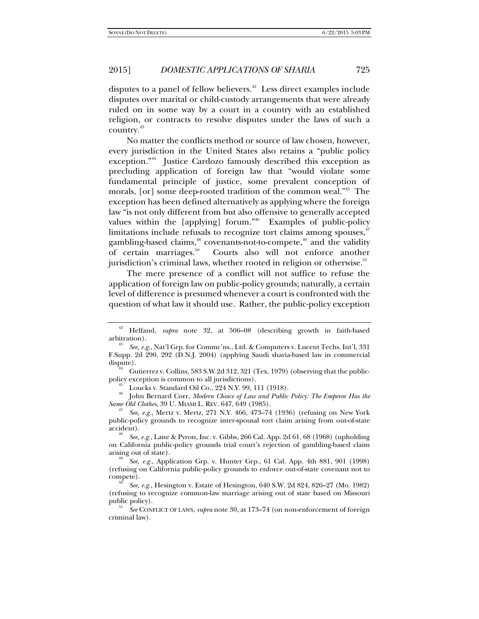disputes to a panel of fellow believers.<sup>42</sup> Less direct examples include disputes over marital or child-custody arrangements that were already ruled on in some way by a court in a country with an established religion, or contracts to resolve disputes under the laws of such a country.43

No matter the conflicts method or source of law chosen, however, every jurisdiction in the United States also retains a "public policy exception."44 Justice Cardozo famously described this exception as precluding application of foreign law that "would violate some fundamental principle of justice, some prevalent conception of morals, [or] some deep-rooted tradition of the common weal."45 The exception has been defined alternatively as applying where the foreign law "is not only different from but also offensive to generally accepted values within the [applying] forum."<sup>46</sup> Examples of public-policy limitations include refusals to recognize tort claims among spouses, $47$ gambling-based claims, $48$  covenants-not-to-compete, $49$  and the validity of certain marriages.<sup>50</sup> Courts also will not enforce another jurisdiction's criminal laws, whether rooted in religion or otherwise.<sup>51</sup>

The mere presence of a conflict will not suffice to refuse the application of foreign law on public-policy grounds; naturally, a certain level of difference is presumed whenever a court is confronted with the question of what law it should use. Rather, the public-policy exception

<sup>46</sup> John Bernard Corr, *Modern Choice of Law and Public Policy: The Emperor Has the Same Old Clothes*, 39 U. MIAMI L. REV. 647, 649 (1985).

*See, e.g., Mertz v. Mertz, 271 N.Y. 466, 473–74 (1936)* (refusing on New York public-policy grounds to recognize inter-spousal tort claim arising from out-of-state accident).

 *See, e.g.*, Lane & Pyron, Inc. v. Gibbs, 266 Cal. App. 2d 61, 68 (1968) (upholding on California public-policy grounds trial court's rejection of gambling-based claim

<sup>42</sup> Helfand, *supra* note 32, at 506–08 (describing growth in faith-based arbitration).

*See, e.g.*, Nat'l Grp. for Commc'ns., Ltd. & Computers v. Lucent Techs. Int'l, 331 F.Supp. 2d 290, 292 (D.N.J. 2004) (applying Saudi sharia-based law in commercial dispute). 44 Gutierrez v. Collins*,* 583 S.W.2d 312, 321 (Tex. 1979) (observing that the public-

policy exception is common to all jurisdictions).<br>
Loucks v. Standard Oil Co., 224 N.Y. 99, 111 (1918).

arising out of state). 49 *See, e.g.*, Application Grp. v. Hunter Grp., 61 Cal. App. 4th 881, 901 (1998) (refusing on California public-policy grounds to enforce out-of-state covenant not to compete).

*See, e.g.*, Hesington v. Estate of Hesington, 640 S.W. 2d 824, 826–27 (Mo. 1982) (refusing to recognize common-law marriage arising out of state based on Missouri public policy).

*See* CONFLICT OF LAWS, *supra* note 30, at 173–74 (on non-enforcement of foreign criminal law).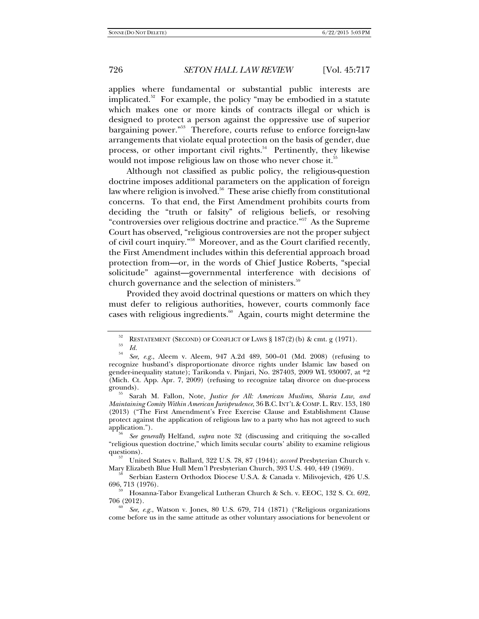applies where fundamental or substantial public interests are implicated.<sup>52</sup> For example, the policy "may be embodied in a statute which makes one or more kinds of contracts illegal or which is designed to protect a person against the oppressive use of superior bargaining power."<sup>53</sup> Therefore, courts refuse to enforce foreign-law arrangements that violate equal protection on the basis of gender, due process, or other important civil rights. $54$  Pertinently, they likewise would not impose religious law on those who never chose it.<sup>55</sup>

Although not classified as public policy, the religious-question doctrine imposes additional parameters on the application of foreign law where religion is involved.<sup>56</sup> These arise chiefly from constitutional concerns. To that end, the First Amendment prohibits courts from deciding the "truth or falsity" of religious beliefs, or resolving "controversies over religious doctrine and practice."57 As the Supreme Court has observed, "religious controversies are not the proper subject of civil court inquiry."58 Moreover, and as the Court clarified recently, the First Amendment includes within this deferential approach broad protection from—or, in the words of Chief Justice Roberts, "special solicitude" against—governmental interference with decisions of church governance and the selection of ministers.<sup>59</sup>

Provided they avoid doctrinal questions or matters on which they must defer to religious authorities, however, courts commonly face cases with religious ingredients. $60$  Again, courts might determine the

Sarah M. Fallon, Note, *Justice for All: American Muslims, Sharia Law, and Maintaining Comity Within American Jurisprudence*, 36 B.C.INT'L & COMP. L.REV. 153, 180 (2013) ("The First Amendment's Free Exercise Clause and Establishment Clause protect against the application of religious law to a party who has not agreed to such application.").

 *See generally* Helfand, *supra* note 32 (discussing and critiquing the so-called "religious question doctrine," which limits secular courts' ability to examine religious

United States v. Ballard, 322 U.S. 78, 87 (1944); *accord* Presbyterian Church v. Mary Elizabeth Blue Hull Mem'l Presbyterian Church, 393 U.S. 440, 449 (1969). 58 Serbian Eastern Orthodox Diocese U.S.A. & Canada v. Milivojevich, 426 U.S.

 $696, 713$  (1976).<br><sup>59</sup> Hosanna-Tabor Evangelical Lutheran Church & Sch. v. EEOC, 132 S. Ct. 692,

706 (2012).

 *See, e.g.*, Watson v. Jones, 80 U.S. 679, 714 (1871) ("Religious organizations come before us in the same attitude as other voluntary associations for benevolent or

<sup>&</sup>lt;sup>52</sup> RESTATEMENT (SECOND) OF CONFLICT OF LAWS § 187(2)(b) & cmt. g (1971).<br> *Id.* 

*Id.* 54 *See, e.g.*, Aleem v. Aleem, 947 A.2d 489, 500–01 (Md. 2008) (refusing to recognize husband's disproportionate divorce rights under Islamic law based on gender-inequality statute); Tarikonda v. Pinjari, No. 287403, 2009 WL 930007, at \*2 (Mich. Ct. App. Apr. 7, 2009) (refusing to recognize talaq divorce on due-process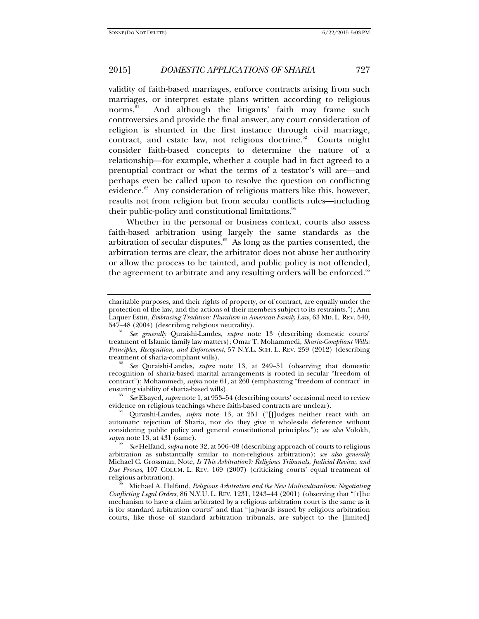validity of faith-based marriages, enforce contracts arising from such marriages, or interpret estate plans written according to religious norms.<sup>61</sup> And although the litigants' faith may frame such controversies and provide the final answer, any court consideration of religion is shunted in the first instance through civil marriage, contract, and estate law, not religious doctrine.<sup>62</sup> Courts might consider faith-based concepts to determine the nature of a relationship—for example, whether a couple had in fact agreed to a prenuptial contract or what the terms of a testator's will are—and perhaps even be called upon to resolve the question on conflicting evidence.<sup>63</sup> Any consideration of religious matters like this, however, results not from religion but from secular conflicts rules—including their public-policy and constitutional limitations.<sup>64</sup>

Whether in the personal or business context, courts also assess faith-based arbitration using largely the same standards as the arbitration of secular disputes. $65$  As long as the parties consented, the arbitration terms are clear, the arbitrator does not abuse her authority or allow the process to be tainted, and public policy is not offended, the agreement to arbitrate and any resulting orders will be enforced.<sup>66</sup>

evidence on religious teachings where faith-based contracts are unclear). 64 Quraishi-Landes, *supra* note 13, at 251 ("[J]udges neither react with an

charitable purposes, and their rights of property, or of contract, are equally under the protection of the law, and the actions of their members subject to its restraints."); Ann Laquer Estin, *Embracing Tradition: Pluralism in American Family Law*, 63 MD. L. REV. 540, 547–48 (2004) (describing religious neutrality).

*See generally* Quraishi-Landes, *supra* note 13 (describing domestic courts' treatment of Islamic family law matters); Omar T. Mohammedi, *Sharia-Compliant Wills: Principles, Recognition, and Enforcement*, 57 N.Y.L. SCH. L. REV. 259 (2012) (describing treatment of sharia-compliant wills).

See Quraishi-Landes, *supra* note 13, at 249-51 (observing that domestic recognition of sharia-based marital arrangements is rooted in secular "freedom of contract"); Mohammedi, *supra* note 61, at 260 (emphasizing "freedom of contract" in ensuring viability of sharia-based wills). 63 *See* Elsayed, *supra* note 1, at 953–54 (describing courts' occasional need to review

automatic rejection of Sharia, nor do they give it wholesale deference without considering public policy and general constitutional principles."); *see also* Volokh, *supra* note 13, at 431 (same).

*See* Helfand, *supra* note 32, at 506–08 (describing approach of courts to religious arbitration as substantially similar to non-religious arbitration); *see also generally* Michael C. Grossman, Note, *Is This Arbitration?: Religious Tribunals, Judicial Review, and Due Process*, 107 COLUM. L. REV. 169 (2007) (criticizing courts' equal treatment of

religious arbitration). 66 Michael A. Helfand, *Religious Arbitration and the New Multiculturalism: Negotiating Conflicting Legal Orders*, 86 N.Y.U. L. REV. 1231, 1243–44 (2001) (observing that "[t]he mechanism to have a claim arbitrated by a religious arbitration court is the same as it is for standard arbitration courts" and that "[a]wards issued by religious arbitration courts, like those of standard arbitration tribunals, are subject to the [limited]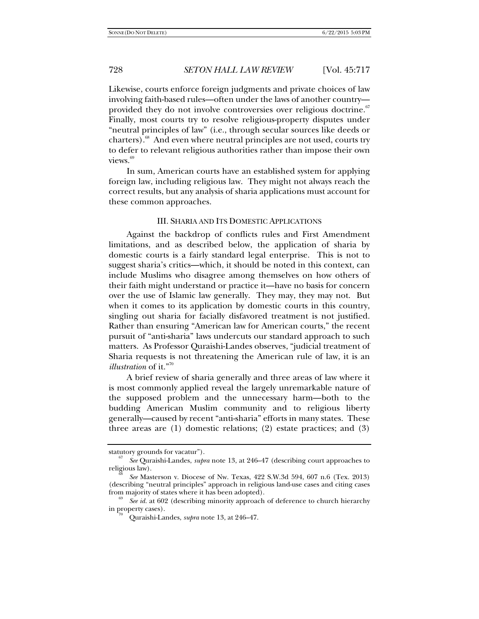Likewise, courts enforce foreign judgments and private choices of law involving faith-based rules—often under the laws of another country provided they do not involve controversies over religious doctrine.<sup>67</sup> Finally, most courts try to resolve religious-property disputes under "neutral principles of law" (i.e., through secular sources like deeds or charters).<sup>68</sup> And even where neutral principles are not used, courts try to defer to relevant religious authorities rather than impose their own views.<sup>69</sup>

In sum, American courts have an established system for applying foreign law, including religious law. They might not always reach the correct results, but any analysis of sharia applications must account for these common approaches.

#### III. SHARIA AND ITS DOMESTIC APPLICATIONS

Against the backdrop of conflicts rules and First Amendment limitations, and as described below, the application of sharia by domestic courts is a fairly standard legal enterprise. This is not to suggest sharia's critics—which, it should be noted in this context, can include Muslims who disagree among themselves on how others of their faith might understand or practice it—have no basis for concern over the use of Islamic law generally. They may, they may not. But when it comes to its application by domestic courts in this country, singling out sharia for facially disfavored treatment is not justified. Rather than ensuring "American law for American courts," the recent pursuit of "anti-sharia" laws undercuts our standard approach to such matters. As Professor Quraishi-Landes observes, "judicial treatment of Sharia requests is not threatening the American rule of law, it is an *illustration* of it."<sup>70</sup>

A brief review of sharia generally and three areas of law where it is most commonly applied reveal the largely unremarkable nature of the supposed problem and the unnecessary harm—both to the budding American Muslim community and to religious liberty generally—caused by recent "anti-sharia" efforts in many states. These three areas are (1) domestic relations; (2) estate practices; and (3)

statutory grounds for vacatur").

<sup>&</sup>lt;sup>6</sup>' See Quraishi-Landes, *supra* note 13, at 246–47 (describing court approaches to religious law).

See Masterson v. Diocese of Nw. Texas, 422 S.W.3d 594, 607 n.6 (Tex. 2013) (describing "neutral principles" approach in religious land-use cases and citing cases from majority of states where it has been adopted). 69 *See id.* at 602 (describing minority approach of deference to church hierarchy

in property cases). 70 Quraishi-Landes, *supra* note 13, at 246–47.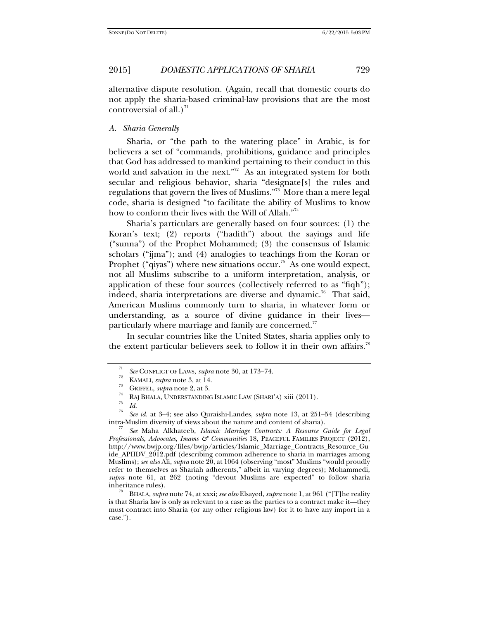alternative dispute resolution. (Again, recall that domestic courts do not apply the sharia-based criminal-law provisions that are the most controversial of all.)<sup>71</sup>

# *A. Sharia Generally*

Sharia, or "the path to the watering place" in Arabic, is for believers a set of "commands, prohibitions, guidance and principles that God has addressed to mankind pertaining to their conduct in this world and salvation in the next."<sup>72</sup> As an integrated system for both secular and religious behavior, sharia "designate[s] the rules and regulations that govern the lives of Muslims."73 More than a mere legal code, sharia is designed "to facilitate the ability of Muslims to know how to conform their lives with the Will of Allah."74

Sharia's particulars are generally based on four sources: (1) the Koran's text; (2) reports ("hadith") about the sayings and life ("sunna") of the Prophet Mohammed; (3) the consensus of Islamic scholars ("ijma"); and (4) analogies to teachings from the Koran or Prophet ("qiyas") where new situations occur.<sup>75</sup> As one would expect, not all Muslims subscribe to a uniform interpretation, analysis, or application of these four sources (collectively referred to as "fiqh"); indeed, sharia interpretations are diverse and dynamic.<sup>76</sup> That said, American Muslims commonly turn to sharia, in whatever form or understanding, as a source of divine guidance in their lives particularly where marriage and family are concerned.<sup>77</sup>

In secular countries like the United States, sharia applies only to the extent particular believers seek to follow it in their own affairs.<sup>78</sup>

*Professionals, Advocates, Imams & Communities* 18, PEACEFUL FAMILIES PROJECT (2012), http://www.bwjp.org/files/bwjp/articles/Islamic\_Marriage\_Contracts\_Resource\_Gu ide\_APIIDV\_2012.pdf (describing common adherence to sharia in marriages among Muslims); *see also* Ali, *supra* note 20, at 1064 (observing "most" Muslims "would proudly refer to themselves as Shariah adherents," albeit in varying degrees); Mohammedi, *supra* note 61, at 262 (noting "devout Muslims are expected" to follow sharia inheritance rules). 78 BHALA, *supra* note 74, at xxxi; *see also* Elsayed, *supra* note 1, at 961 ("[T]he reality

is that Sharia law is only as relevant to a case as the parties to a contract make it—they must contract into Sharia (or any other religious law) for it to have any import in a case.").

<sup>71</sup>

*See* CONFLICT OF LAWS, *supra* note 30, at 173–74.<br>
<sup>72</sup> KAMALI, *supra* note 3, at 14.<br>
<sup>73</sup> GRIFFEL, *supra* note 2, at 3.<br> **RAJ BHALA, UNDERSTANDING ISLAMIC LAW (SHARI'A) xiii (2011).**<br> *Id. Id.* 

*See id.* at 3–4; see also Quraishi-Landes, *supra* note 13, at 251–54 (describing intra-Muslim diversity of views about the nature and content of sharia). 77 *See* Maha Alkhateeb, *Islamic Marriage Contracts: A Resource Guide for Legal*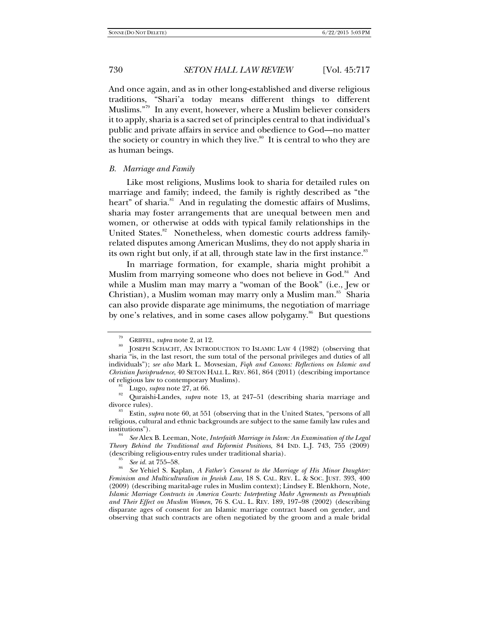And once again, and as in other long-established and diverse religious traditions, "Shari'a today means different things to different Muslims."79 In any event, however, where a Muslim believer considers it to apply, sharia is a sacred set of principles central to that individual's public and private affairs in service and obedience to God—no matter the society or country in which they live. $80$  It is central to who they are as human beings.

#### *B. Marriage and Family*

Like most religions, Muslims look to sharia for detailed rules on marriage and family; indeed, the family is rightly described as "the heart" of sharia.<sup>81</sup> And in regulating the domestic affairs of Muslims, sharia may foster arrangements that are unequal between men and women, or otherwise at odds with typical family relationships in the United States.<sup>82</sup> Nonetheless, when domestic courts address familyrelated disputes among American Muslims, they do not apply sharia in its own right but only, if at all, through state law in the first instance.<sup>83</sup>

In marriage formation, for example, sharia might prohibit a Muslim from marrying someone who does not believe in God.<sup>84</sup> And while a Muslim man may marry a "woman of the Book" (i.e., Jew or Christian), a Muslim woman may marry only a Muslim man.<sup>85</sup> Sharia can also provide disparate age minimums, the negotiation of marriage by one's relatives, and in some cases allow polygamy.<sup>86</sup> But questions

<sup>&</sup>lt;sup>79</sup> GRIFFEL, *supra* note 2, at 12.<br><sup>80</sup> JOSEPH SCHACHT, AN INTRODUCTION TO ISLAMIC LAW 4 (1982) (observing that sharia "is, in the last resort, the sum total of the personal privileges and duties of all individuals"); *see also* Mark L. Movsesian, *Fiqh and Canons: Reflections on Islamic and Christian Jurisprudence*, 40 SETON HALL L. REV. 861, 864 (2011) (describing importance

<sup>&</sup>lt;sup>81</sup> Lugo, *supra* note 27, at 66. 82 Ouraishi-Landes, *supra* note 13, at 247–51 (describing sharia marriage and divorce rules). 83 Estin, *supra* note 60, at 551 (observing that in the United States, "persons of all

religious, cultural and ethnic backgrounds are subject to the same family law rules and

See Alex B. Leeman, Note, *Interfaith Marriage in Islam: An Examination of the Legal Theory Behind the Traditional and Reformist Positions*, 84 IND. L.J. 743, 755 (2009) (describing religious-entry rules under traditional sharia).<br><sup>85</sup> See id. at  $755-58$ .

*See id.* at 755–58. 86 *See* Yehiel S. Kaplan, *A Father's Consent to the Marriage of His Minor Daughter: Feminism and Multiculturalism in Jewish Law*, 18 S. CAL. REV. L. & SOC. JUST. 393, 400 (2009) (describing marital-age rules in Muslim context); Lindsey E. Blenkhorn, Note, *Islamic Marriage Contracts in America Courts: Interpreting Mahr Agreements as Prenuptials and Their Effect on Muslim Women*, 76 S. CAL. L. REV. 189, 197–98 (2002) (describing disparate ages of consent for an Islamic marriage contract based on gender, and observing that such contracts are often negotiated by the groom and a male bridal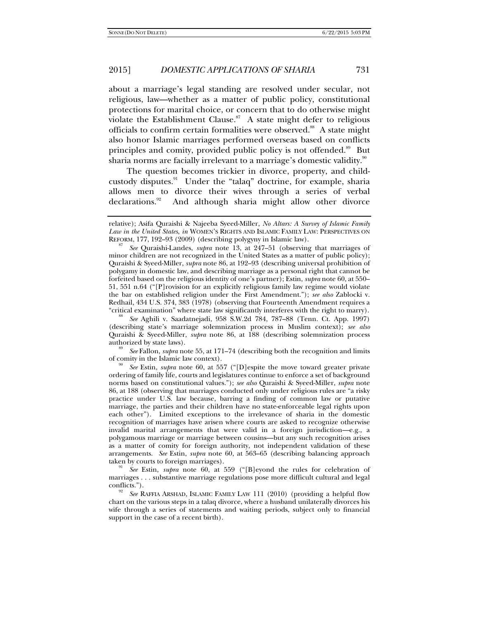about a marriage's legal standing are resolved under secular, not religious, law—whether as a matter of public policy, constitutional protections for marital choice, or concern that to do otherwise might violate the Establishment Clause.<sup>87</sup> A state might defer to religious officials to confirm certain formalities were observed.<sup>88</sup> A state might also honor Islamic marriages performed overseas based on conflicts principles and comity, provided public policy is not offended.<sup>89</sup> But sharia norms are facially irrelevant to a marriage's domestic validity.<sup>90</sup>

The question becomes trickier in divorce, property, and childcustody disputes.<sup>91</sup> Under the "talaq" doctrine, for example, sharia allows men to divorce their wives through a series of verbal declarations.<sup>92</sup> And although sharia might allow other divorce

(describing state's marriage solemnization process in Muslim context); *see also* Quraishi & Syeed-Miller, *supra* note 86, at 188 (describing solemnization process authorized by state laws).

 *See* Fallon, *supra* note 55, at 171–74 (describing both the recognition and limits of comity in the Islamic law context).

 *See* Estin, *supra* note 60, at 557 ("[D]espite the move toward greater private ordering of family life, courts and legislatures continue to enforce a set of background norms based on constitutional values."); *see also* Quraishi & Syeed-Miller, *supra* note 86, at 188 (observing that marriages conducted only under religious rules are "a risky practice under U.S. law because, barring a finding of common law or putative marriage, the parties and their children have no state-enforceable legal rights upon each other"). Limited exceptions to the irrelevance of sharia in the domestic recognition of marriages have arisen where courts are asked to recognize otherwise invalid marital arrangements that were valid in a foreign jurisdiction—e.g., a polygamous marriage or marriage between cousins—but any such recognition arises as a matter of comity for foreign authority, not independent validation of these arrangements. *See* Estin, *supra* note 60, at 563–65 (describing balancing approach taken by courts to foreign marriages).

 *See* Estin, *supra* note 60, at 559 ("[B]eyond the rules for celebration of marriages . . . substantive marriage regulations pose more difficult cultural and legal

See RAFFIA ARSHAD, ISLAMIC FAMILY LAW 111 (2010) (providing a helpful flow chart on the various steps in a talaq divorce, where a husband unilaterally divorces his wife through a series of statements and waiting periods, subject only to financial support in the case of a recent birth).

relative); Asifa Quraishi & Najeeba Syeed-Miller, *No Altars: A Survey of Islamic Family Law in the United States*, *in* WOMEN'S RIGHTS AND ISLAMIC FAMILY LAW: PERSPECTIVES ON REFORM, 177, 192-93 (2009) (describing polygyny in Islamic law).

*See* Quraishi-Landes, *supra* note 13, at 247–51 (observing that marriages of minor children are not recognized in the United States as a matter of public policy); Quraishi & Syeed-Miller, *supra* note 86, at 192–93 (describing universal prohibition of polygamy in domestic law, and describing marriage as a personal right that cannot be forfeited based on the religious identity of one's partner); Estin, *supra* note 60, at 550– 51, 551 n.64 ("[P]rovision for an explicitly religious family law regime would violate the bar on established religion under the First Amendment."); *see also* Zablocki v. Redhail, 434 U.S. 374, 383 (1978) (observing that Fourteenth Amendment requires a "critical examination" where state law significantly interferes with the right to marry). 88 *See* Aghili v. Saadatnejadi, 958 S.W.2d 784, 787–88 (Tenn. Ct. App. 1997)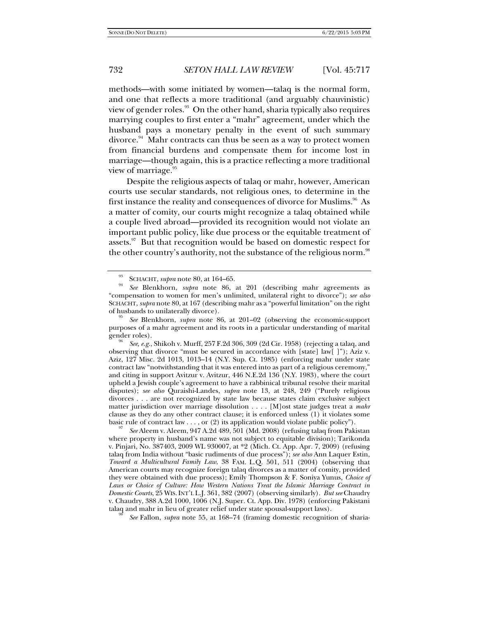methods—with some initiated by women—talaq is the normal form, and one that reflects a more traditional (and arguably chauvinistic) view of gender roles.<sup>93</sup> On the other hand, sharia typically also requires marrying couples to first enter a "mahr" agreement, under which the husband pays a monetary penalty in the event of such summary divorce. $94$  Mahr contracts can thus be seen as a way to protect women from financial burdens and compensate them for income lost in marriage—though again, this is a practice reflecting a more traditional view of marriage.<sup>95</sup>

Despite the religious aspects of talaq or mahr, however, American courts use secular standards, not religious ones, to determine in the first instance the reality and consequences of divorce for Muslims.<sup>96</sup> As a matter of comity, our courts might recognize a talaq obtained while a couple lived abroad—provided its recognition would not violate an important public policy, like due process or the equitable treatment of assets.<sup>97</sup> But that recognition would be based on domestic respect for the other country's authority, not the substance of the religious norm.<sup>98</sup>

where property in husband's name was not subject to equitable division); Tarikonda v. Pinjari, No. 387403, 2009 WL 930007, at \*2 (Mich. Ct. App. Apr. 7, 2009) (refusing talaq from India without "basic rudiments of due process"); *see also* Ann Laquer Estin, *Toward a Multicultural Family Law*, 38 FAM. L.Q. 501, 511 (2004) (observing that American courts may recognize foreign talaq divorces as a matter of comity, provided they were obtained with due process); Emily Thompson & F. Soniya Yunus*, Choice of Laws or Choice of Culture: How Western Nations Treat the Islamic Marriage Contract in Domestic Courts*, 25 WIS.INT'L L.J. 361, 382 (2007) (observing similarly). *But see* Chaudry v. Chaudry, 388 A.2d 1000, 1006 (N.J. Super. Ct. App. Div. 1978) (enforcing Pakistani talaq and mahr in lieu of greater relief under state spousal-support laws).

*See* Fallon, *supra* note 55, at 168–74 (framing domestic recognition of sharia-

SCHACHT, *supra* note 80, at 164-65.

*See* Blenkhorn, *supra* note 86, at 201 (describing mahr agreements as "compensation to women for men's unlimited, unilateral right to divorce"); *see also* SCHACHT, *supra* note 80, at 167 (describing mahr as a "powerful limitation" on the right of husbands to unilaterally divorce).

*See* Blenkhorn, *supra* note 86, at 201–02 (observing the economic-support purposes of a mahr agreement and its roots in a particular understanding of marital gender roles).

*See, e.g.*, Shikoh v. Murff, 257 F.2d 306, 309 (2d Cir. 1958) (rejecting a talaq, and observing that divorce "must be secured in accordance with [state] law[ ]"); Aziz v. Aziz, 127 Misc. 2d 1013, 1013–14 (N.Y. Sup. Ct. 1985) (enforcing mahr under state contract law "notwithstanding that it was entered into as part of a religious ceremony," and citing in support Avitzur v. Avitzur, 446 N.E.2d 136 (N.Y. 1983), where the court upheld a Jewish couple's agreement to have a rabbinical tribunal resolve their marital disputes); *see also* Quraishi-Landes, *supra* note 13, at 248, 249 ("Purely religious divorces . . . are not recognized by state law because states claim exclusive subject matter jurisdiction over marriage dissolution . . . . [M]ost state judges treat a *mahr* clause as they do any other contract clause; it is enforced unless (1) it violates some basic rule of contract law . . . , or (2) its application would violate public policy"). 97 *See* Aleem v. Aleem, 947 A.2d 489, 501 (Md. 2008) (refusing talaq from Pakistan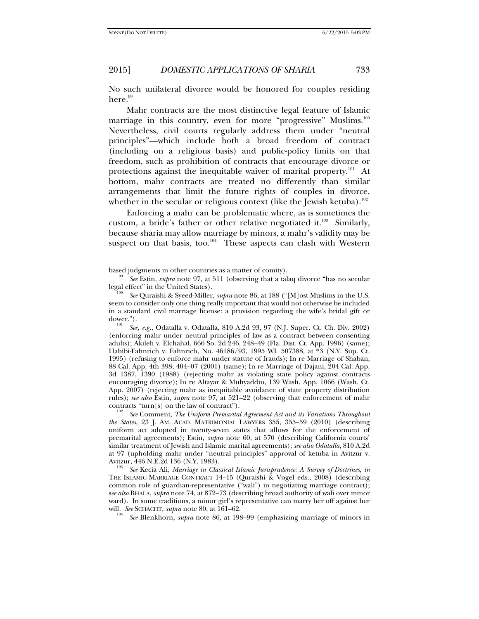No such unilateral divorce would be honored for couples residing  $here.<sup>99</sup>$ 

Mahr contracts are the most distinctive legal feature of Islamic marriage in this country, even for more "progressive" Muslims.<sup>100</sup> Nevertheless, civil courts regularly address them under "neutral principles"—which include both a broad freedom of contract (including on a religious basis) and public-policy limits on that freedom, such as prohibition of contracts that encourage divorce or protections against the inequitable waiver of marital property.<sup>101</sup> At bottom, mahr contracts are treated no differently than similar arrangements that limit the future rights of couples in divorce, whether in the secular or religious context (like the Jewish ketuba).<sup>102</sup>

Enforcing a mahr can be problematic where, as is sometimes the custom, a bride's father or other relative negotiated it.<sup>103</sup> Similarly, because sharia may allow marriage by minors, a mahr's validity may be suspect on that basis, too. $104$  These aspects can clash with Western

 *See* Comment, *The Uniform Premarital Agreement Act and its Variations Throughout the States*, 23 J. AM. ACAD. MATRIMONIAL LAWYERS 355, 355–59 (2010) (describing uniform act adopted in twenty-seven states that allows for the enforcement of premarital agreements); Estin, *supra* note 60, at 570 (describing California courts' similar treatment of Jewish and Islamic marital agreements); *see also Odatalla*, 810 A.2d at 97 (upholding mahr under "neutral principles" approval of ketuba in Avitzur v. Avitzur, 446 N.E.2d 136 (N.Y. 1983).

 *See* Kecia Ali, *Marriage in Classical Islamic Jurisprudence: A Survey of Doctrines*, *in* THE ISLAMIC MARRIAGE CONTRACT 14–15 (Quraishi & Vogel eds., 2008) (describing common role of guardian-representative ("wali") in negotiating marriage contract); s*ee also* BHALA, *supra* note 74, at 872–73 (describing broad authority of wali over minor ward). In some traditions, a minor girl's representative can marry her off against her will. See SCHACHT, *supra* note 80, at 161–62.

*See* Blenkhorn, *supra* note 86, at 198–99 (emphasizing marriage of minors in

based judgments in other countries as a matter of comity). 99 *See* Estin, *supra* note 97, at 511 (observing that a talaq divorce "has no secular legal effect" in the United States).

*See* Quraishi & Syeed-Miller, *supra* note 86, at 188 ("[M]ost Muslims in the U.S. seem to consider only one thing really important that would not otherwise be included in a standard civil marriage license: a provision regarding the wife's bridal gift or dower.").

*See, e.g.*, Odatalla v. Odatalla, 810 A.2d 93, 97 (N.J. Super. Ct. Ch. Div. 2002) (enforcing mahr under neutral principles of law as a contract between consenting adults); Akileh v. Elchahal, 666 So. 2d 246, 248-49 (Fla. Dist. Ct. App. 1996) (same); Habibi-Fahnrich v. Fahnrich, No. 46186/93, 1995 WL 507388, at \*3 (N.Y. Sup. Ct. 1995) (refusing to enforce mahr under statute of frauds); In re Marriage of Shaban, 88 Cal. App. 4th 398, 404–07 (2001) (same); In re Marriage of Dajani, 204 Cal. App. 3d 1387, 1390 (1988) (rejecting mahr as violating state policy against contracts encouraging divorce); In re Altayar & Muhyaddin, 139 Wash. App. 1066 (Wash. Ct. App. 2007) (rejecting mahr as inequitable avoidance of state property distribution rules); *see also* Estin, *supra* note 97, at 521–22 (observing that enforcement of mahr contracts "turn[s] on the law of contract").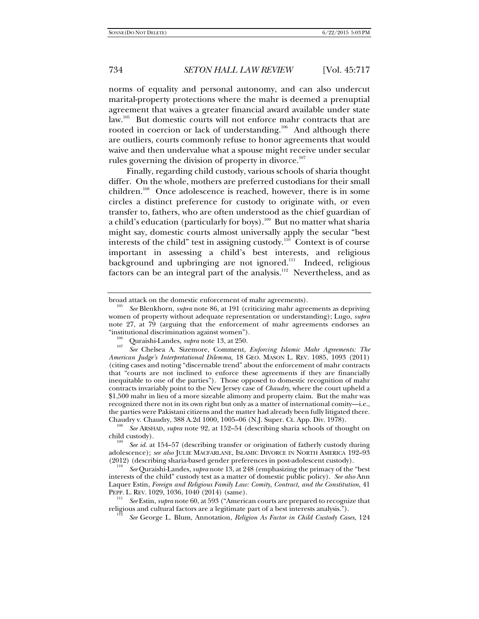norms of equality and personal autonomy, and can also undercut marital-property protections where the mahr is deemed a prenuptial agreement that waives a greater financial award available under state law.<sup>105</sup> But domestic courts will not enforce mahr contracts that are rooted in coercion or lack of understanding.<sup>106</sup> And although there are outliers, courts commonly refuse to honor agreements that would waive and then undervalue what a spouse might receive under secular rules governing the division of property in divorce.<sup>107</sup>

Finally, regarding child custody, various schools of sharia thought differ. On the whole, mothers are preferred custodians for their small children.<sup>108</sup> Once adolescence is reached, however, there is in some circles a distinct preference for custody to originate with, or even transfer to, fathers, who are often understood as the chief guardian of a child's education (particularly for boys).<sup>109</sup> But no matter what sharia might say, domestic courts almost universally apply the secular "best interests of the child" test in assigning custody.<sup>110</sup> Context is of course important in assessing a child's best interests, and religious background and upbringing are not ignored.<sup>111</sup> Indeed, religious factors can be an integral part of the analysis.<sup>112</sup> Nevertheless, and as

 *See* Quraishi-Landes, *supra* note 13, at 248 (emphasizing the primacy of the "best interests of the child" custody test as a matter of domestic public policy). *See also* Ann Laquer Estin, *Foreign and Religious Family Law: Comity, Contract, and the Constitution*, 41 PEPP. L. REV. 1029, 1036, 1040 (2014) (same). 111 *See* Estin, *supra* note 60, at 593 ("American courts are prepared to recognize that

religious and cultural factors are a legitimate part of a best interests analysis."). 112

*See* George L. Blum, Annotation, *Religion As Factor in Child Custody Cases*, 124

broad attack on the domestic enforcement of mahr agreements).

*See* Blenkhorn, *supra* note 86, at 191 (criticizing mahr agreements as depriving women of property without adequate representation or understanding); Lugo, *supra* note 27, at 79 (arguing that the enforcement of mahr agreements endorses an

<sup>&</sup>quot;institutional discrimination against women"). 106 Quraishi-Landes, *supra* note 13, at 250. 107

*See* Chelsea A. Sizemore, Comment, *Enforcing Islamic Mahr Agreements: The American Judge's Interpretational Dilemma*, 18 GEO. MASON L. REV. 1085, 1093 (2011) (citing cases and noting "discernable trend" about the enforcement of mahr contracts that "courts are not inclined to enforce these agreements if they are financially inequitable to one of the parties"). Those opposed to domestic recognition of mahr contracts invariably point to the New Jersey case of *Chaudry*, where the court upheld a \$1,500 mahr in lieu of a more sizeable alimony and property claim. But the mahr was recognized there not in its own right but only as a matter of international comity—i.e., the parties were Pakistani citizens and the matter had already been fully litigated there.<br>Chaudry v. Chaudry, 388 A.2d 1000, 1005–06 (N.J. Super. Ct. App. Div. 1978).

See ARSHAD, *supra* note 92, at 152–54 (describing sharia schools of thought on child custody). 109 *See id.* at 154–57 (describing transfer or origination of fatherly custody during

adolescence); *see also* JULIE MACFARLANE, ISLAMIC DIVORCE IN NORTH AMERICA 192–93 (2012) (describing sharia-based gender preferences in post-adolescent custody).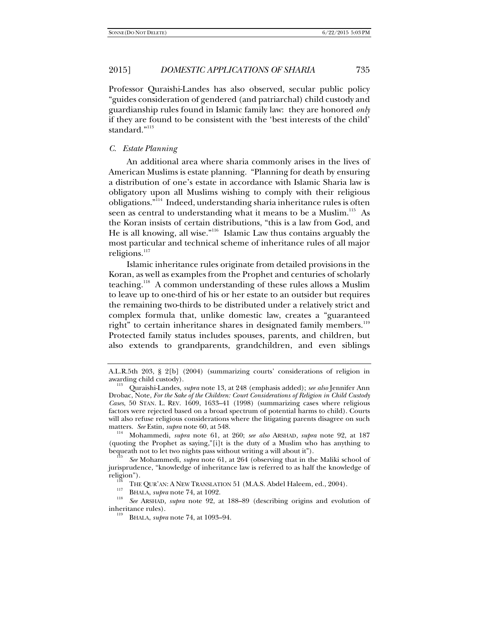Professor Quraishi-Landes has also observed, secular public policy "guides consideration of gendered (and patriarchal) child custody and guardianship rules found in Islamic family law: they are honored *only* if they are found to be consistent with the 'best interests of the child' standard."<sup>113</sup>

# *C. Estate Planning*

An additional area where sharia commonly arises in the lives of American Muslims is estate planning. "Planning for death by ensuring a distribution of one's estate in accordance with Islamic Sharia law is obligatory upon all Muslims wishing to comply with their religious obligations."114 Indeed, understanding sharia inheritance rules is often seen as central to understanding what it means to be a Muslim.<sup>115</sup> As the Koran insists of certain distributions, "this is a law from God, and He is all knowing, all wise."116 Islamic Law thus contains arguably the most particular and technical scheme of inheritance rules of all major religions.<sup>117</sup>

Islamic inheritance rules originate from detailed provisions in the Koran, as well as examples from the Prophet and centuries of scholarly teaching.118 A common understanding of these rules allows a Muslim to leave up to one-third of his or her estate to an outsider but requires the remaining two-thirds to be distributed under a relatively strict and complex formula that, unlike domestic law, creates a "guaranteed right" to certain inheritance shares in designated family members.<sup>119</sup> Protected family status includes spouses, parents, and children, but also extends to grandparents, grandchildren, and even siblings

Mohammedi, *supra* note 61, at 260; *see also* ARSHAD, *supra* note 92, at 187 (quoting the Prophet as saying,"[i]t is the duty of a Muslim who has anything to bequeath not to let two nights pass without writing a will about it").

A.L.R.5th 203, § 2[b] (2004) (summarizing courts' considerations of religion in

awarding child custody). 113 Quraishi-Landes, *supra* note 13, at 248 (emphasis added); *see also* Jennifer Ann Drobac, Note, *For the Sake of the Children: Court Considerations of Religion in Child Custody Cases*, 50 STAN. L. REV. 1609, 1633–41 (1998) (summarizing cases where religious factors were rejected based on a broad spectrum of potential harms to child). Courts will also refuse religious considerations where the litigating parents disagree on such matters. See Estin, supra note 60, at 548.

*See* Mohammedi, *supra* note 61, at 264 (observing that in the Maliki school of jurisprudence, "knowledge of inheritance law is referred to as half the knowledge of religion").<br><sup>116</sup> THE QUR'AN: A NEW TRANSLATION 51 (M.A.S. Abdel Haleem, ed., 2004).<br><sup>117</sup> BHALA, *supra* note 74, at 1092.<br><sup>118</sup> *See* ARSHAD, *supra* note 92, at 188–89 (describing origins and evolution of

inheritance rules). 119 BHALA, *supra* note 74, at 1093–94.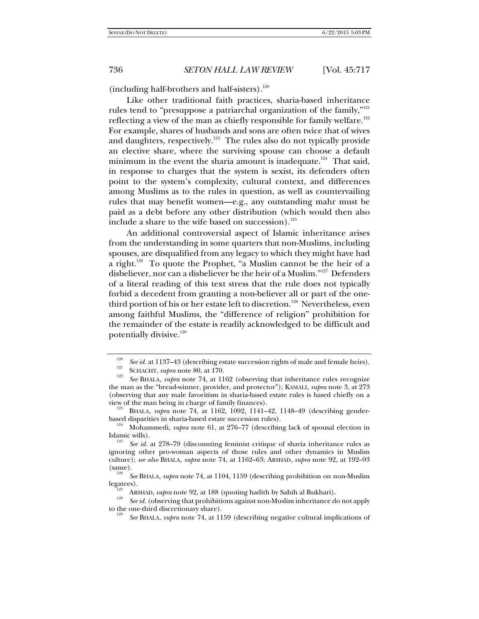(including half-brothers and half-sisters). $120$ 

Like other traditional faith practices, sharia-based inheritance rules tend to "presuppose a patriarchal organization of the family," $^{121}$ reflecting a view of the man as chiefly responsible for family welfare.<sup>122</sup> For example, shares of husbands and sons are often twice that of wives and daughters, respectively.<sup>123</sup> The rules also do not typically provide an elective share, where the surviving spouse can choose a default minimum in the event the sharia amount is inadequate.<sup>124</sup> That said, in response to charges that the system is sexist, its defenders often point to the system's complexity, cultural context, and differences among Muslims as to the rules in question, as well as countervailing rules that may benefit women—e.g., any outstanding mahr must be paid as a debt before any other distribution (which would then also include a share to the wife based on succession). $125$ 

An additional controversial aspect of Islamic inheritance arises from the understanding in some quarters that non-Muslims, including spouses, are disqualified from any legacy to which they might have had a right.<sup>126</sup> To quote the Prophet, "a Muslim cannot be the heir of a disbeliever, nor can a disbeliever be the heir of a Muslim."127 Defenders of a literal reading of this text stress that the rule does not typically forbid a decedent from granting a non-believer all or part of the onethird portion of his or her estate left to discretion.<sup>128</sup> Nevertheless, even among faithful Muslims, the "difference of religion" prohibition for the remainder of the estate is readily acknowledged to be difficult and potentially divisive.<sup>129</sup>

<sup>120</sup> *See id.* at 1137–43 (describing estate succession rights of male and female heirs).<br>
SCHACHT, *supra* note 80, at 170.<br>
<sup>122</sup> SC DISTRIBUTED 1220 And 1120 And 1220 at 11220 and 1220 and 1220 and 1220 and 1220 and 1220 and

*See* BHALA, *supra* note 74, at 1162 (observing that inheritance rules recognize the man as the "bread-winner, provider, and protector"); KAMALI, *supra* note 3, at 273 (observing that any male favoritism in sharia-based estate rules is based chiefly on a view of the man being in charge of family finances).<br><sup>123</sup> BHALA, *supra* note 74, at 1162, 1092, 1141–42, 1148–49 (describing gender-

based disparities in sharia-based estate succession rules).<br><sup>124</sup> Mohammedi, *supra* note 61, at 276–77 (describing lack of spousal election in Islamic wills).

See id. at 278–79 (discounting feminist critique of sharia inheritance rules as ignoring other pro-woman aspects of those rules and other dynamics in Muslim culture); *see also* BHALA, *supra* note 74, at 1162–63; ARSHAD*, supra* note 92, at 192–93  $\left(\text{same}\right).$ <sup>126</sup>

<sup>&</sup>lt;sup>126</sup> *See* BHALA, *supra* note 74, at 1104, 1159 (describing prohibition on non-Muslim legates).

legatees). 127 ARSHAD*, supra* note 92, at 188 (quoting hadith by Sahih al Bukhari). 128 *See id.* (observing that prohibitions against non-Muslim inheritance do not apply to the one-third discretionary share).

*See* BHALA, *supra* note 74, at 1159 (describing negative cultural implications of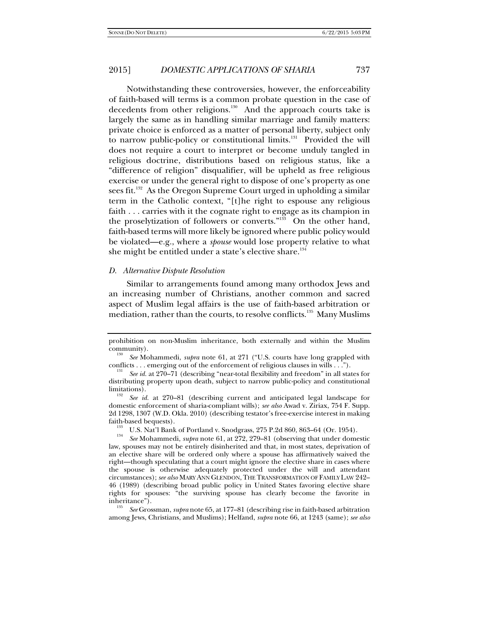Notwithstanding these controversies, however, the enforceability of faith-based will terms is a common probate question in the case of decedents from other religions.<sup>130</sup> And the approach courts take is largely the same as in handling similar marriage and family matters: private choice is enforced as a matter of personal liberty, subject only to narrow public-policy or constitutional limits.<sup>131</sup> Provided the will does not require a court to interpret or become unduly tangled in religious doctrine, distributions based on religious status, like a "difference of religion" disqualifier, will be upheld as free religious exercise or under the general right to dispose of one's property as one sees fit.<sup>132</sup> As the Oregon Supreme Court urged in upholding a similar term in the Catholic context, "[t]he right to espouse any religious faith . . . carries with it the cognate right to engage as its champion in the proselytization of followers or converts."<sup>133</sup> On the other hand, faith-based terms will more likely be ignored where public policy would be violated—e.g., where a *spouse* would lose property relative to what she might be entitled under a state's elective share.<sup>134</sup>

# *D. Alternative Dispute Resolution*

Similar to arrangements found among many orthodox Jews and an increasing number of Christians, another common and sacred aspect of Muslim legal affairs is the use of faith-based arbitration or mediation, rather than the courts, to resolve conflicts.<sup>135</sup> Many Muslims

prohibition on non-Muslim inheritance, both externally and within the Muslim community).

*See* Mohammedi, *supra* note 61, at 271 ("U.S. courts have long grappled with conflicts . . . emerging out of the enforcement of religious clauses in wills . . .").

*See id.* at 270–71 (describing "near-total flexibility and freedom" in all states for distributing property upon death, subject to narrow public-policy and constitutional limitations). 132 *See id.* at 270–81 (describing current and anticipated legal landscape for

domestic enforcement of sharia-compliant wills); *see also* Awad v. Ziriax, 754 F. Supp. 2d 1298, 1307 (W.D. Okla. 2010) (describing testator's free-exercise interest in making

faith-based bequests).<br><sup>133</sup> U.S. Nat'l Bank of Portland v. Snodgrass, 275 P.2d 860, 863–64 (Or. 1954).<br><sup>134</sup> SeeMohammadi, autre poto 61, at 279, 270, 81 (observing that under dome

*See* Mohammedi, *supra* note 61, at 272, 279–81 (observing that under domestic law, spouses may not be entirely disinherited and that, in most states, deprivation of an elective share will be ordered only where a spouse has affirmatively waived the right—though speculating that a court might ignore the elective share in cases where the spouse is otherwise adequately protected under the will and attendant circumstances); *see also* MARY ANN GLENDON, THE TRANSFORMATION OF FAMILY LAW 242– 46 (1989) (describing broad public policy in United States favoring elective share rights for spouses: "the surviving spouse has clearly become the favorite in inheritance").

*See* Grossman, *supra* note 65, at 177–81 (describing rise in faith-based arbitration among Jews, Christians, and Muslims); Helfand, *supra* note 66, at 1243 (same); *see also*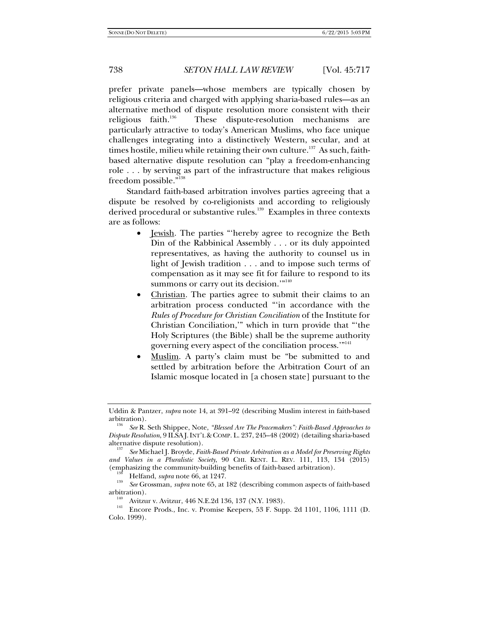prefer private panels—whose members are typically chosen by religious criteria and charged with applying sharia-based rules—as an alternative method of dispute resolution more consistent with their religious faith.<sup>136</sup> These dispute-resolution mechanisms are particularly attractive to today's American Muslims, who face unique challenges integrating into a distinctively Western, secular, and at times hostile, milieu while retaining their own culture.<sup>137</sup> As such, faithbased alternative dispute resolution can "play a freedom-enhancing role . . . by serving as part of the infrastructure that makes religious freedom possible."138

Standard faith-based arbitration involves parties agreeing that a dispute be resolved by co-religionists and according to religiously derived procedural or substantive rules.<sup>139</sup> Examples in three contexts are as follows:

- <u>Jewish</u>. The parties "hereby agree to recognize the Beth Din of the Rabbinical Assembly . . . or its duly appointed representatives, as having the authority to counsel us in light of Jewish tradition . . . and to impose such terms of compensation as it may see fit for failure to respond to its summons or carry out its decision."<sup>140</sup>
- Christian. The parties agree to submit their claims to an arbitration process conducted "'in accordance with the *Rules of Procedure for Christian Conciliation* of the Institute for Christian Conciliation,'" which in turn provide that "'the Holy Scriptures (the Bible) shall be the supreme authority governing every aspect of the conciliation process.'"141
- Muslim. A party's claim must be "be submitted to and settled by arbitration before the Arbitration Court of an Islamic mosque located in [a chosen state] pursuant to the

<sup>138</sup> Helfand, *supra* note 66, at 1247.<br><sup>139</sup> *See* Grossman, *supra* note 65, at 182 (describing common aspects of faith-based

arbitration).<br><sup>140</sup> Avitzur v. Avitzur, 446 N.E.2d 136, 137 (N.Y. 1983).<br><sup>141</sup> Encore Prods., Inc. v. Promise Keepers, 53 F. Supp. 2d 1101, 1106, 1111 (D. Colo. 1999).

Uddin & Pantzer, *supra* note 14, at 391–92 (describing Muslim interest in faith-based

See R. Seth Shippee, Note, *"Blessed Are The Peacemakers": Faith-Based Approaches to Dispute Resolution*, 9 ILSAJ. INT'L & COMP. L. 237, 245–48 (2002) (detailing sharia-based alternative dispute resolution).

See Michael J. Broyde, *Faith-Based Private Arbitration as a Model for Preserving Rights and Values in a Pluralistic Society*, 90 CHI. KENT. L. REV. 111, 113, 134 (2015)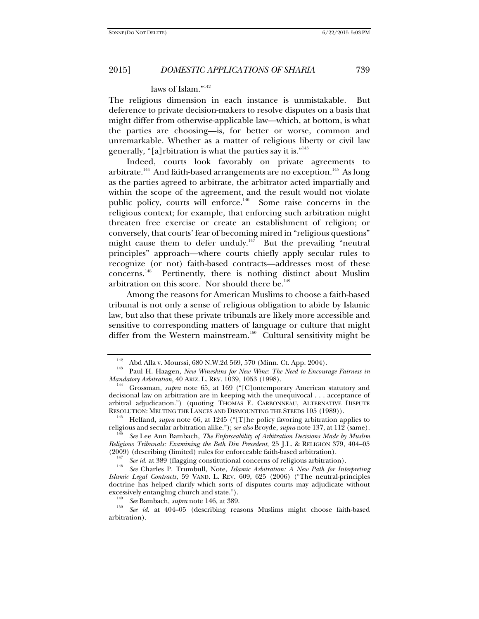# laws of Islam."<sup>142</sup>

The religious dimension in each instance is unmistakable. But deference to private decision-makers to resolve disputes on a basis that might differ from otherwise-applicable law—which, at bottom, is what the parties are choosing—is, for better or worse, common and unremarkable. Whether as a matter of religious liberty or civil law generally, "[a]rbitration is what the parties say it is."143

Indeed, courts look favorably on private agreements to arbitrate.<sup>144</sup> And faith-based arrangements are no exception.<sup>145</sup> As long as the parties agreed to arbitrate, the arbitrator acted impartially and within the scope of the agreement, and the result would not violate public policy, courts will enforce.<sup>146</sup> Some raise concerns in the religious context; for example, that enforcing such arbitration might threaten free exercise or create an establishment of religion; or conversely, that courts' fear of becoming mired in "religious questions" might cause them to defer unduly.<sup>147</sup> But the prevailing "neutral principles" approach—where courts chiefly apply secular rules to recognize (or not) faith-based contracts—addresses most of these concerns.148 Pertinently, there is nothing distinct about Muslim arbitration on this score. Nor should there be.<sup>149</sup>

Among the reasons for American Muslims to choose a faith-based tribunal is not only a sense of religious obligation to abide by Islamic law, but also that these private tribunals are likely more accessible and sensitive to corresponding matters of language or culture that might differ from the Western mainstream.<sup>150</sup> Cultural sensitivity might be

<sup>145</sup> Helfand, *supra* note 66, at 1245 ("[T]he policy favoring arbitration applies to religious and secular arbitration alike."); *see also* Broyde, *supra* note 137, at 112 (same).

<sup>&</sup>lt;sup>142</sup> Abd Alla v. Mourssi, 680 N.W.2d 569, 570 (Minn. Ct. App. 2004).<br><sup>143</sup> Paul H. Haagen, *New Wineskins for New Wine: The Need to Encourage Fairness in* 

*Mandatory Arbitration*, 40 ARIZ. L. REV. 1039, 1053 (1998).<br><sup>144</sup> Grossman, *supra* note 65, at 169 ("[C]ontemporary American statutory and decisional law on arbitration are in keeping with the unequivocal . . . acceptance of arbitral adjudication.") (quoting THOMAS E. CARBONNEAU, ALTERNATIVE DISPUTE RESOLUTION: MELTING THE LANCES AND DISMOUNTING THE STEEDS 105 (1989)).

*See* Lee Ann Bambach, *The Enforceability of Arbitration Decisions Made by Muslim Religious Tribunals: Examining the Beth Din Precedent*, 25 J.L. & RELIGION 379, 404–05 (2009) (describing (limited) rules for enforceable faith-based arbitration).

<sup>&</sup>lt;sup>147</sup> See id. at 389 (flagging constitutional concerns of religious arbitration).

*See* Charles P. Trumbull, Note, *Islamic Arbitration: A New Path for Interpreting Islamic Legal Contracts*, 59 VAND. L. REV. 609, 625 (2006) ("The neutral-principles doctrine has helped clarify which sorts of disputes courts may adjudicate without excessively entangling church and state.").<br><sup>149</sup> *See* Bambach, *supra* note 146, at 389.<br><sup>150</sup> *See id.* at 404–05 (describing reasons Muslims might choose faith-based

arbitration).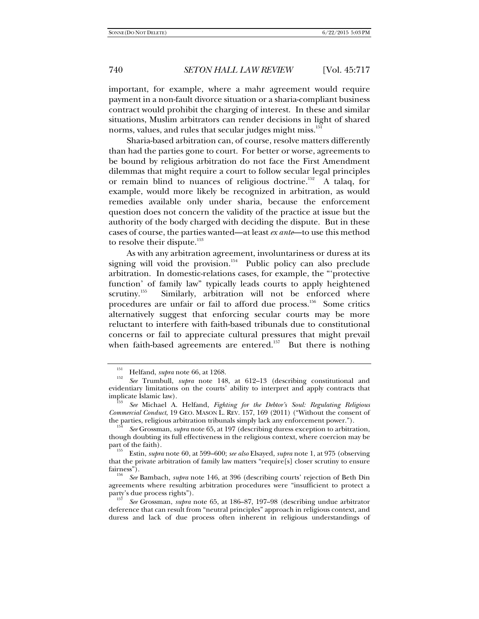important, for example, where a mahr agreement would require payment in a non-fault divorce situation or a sharia-compliant business contract would prohibit the charging of interest. In these and similar situations, Muslim arbitrators can render decisions in light of shared norms, values, and rules that secular judges might miss.<sup>151</sup>

Sharia-based arbitration can, of course, resolve matters differently than had the parties gone to court. For better or worse, agreements to be bound by religious arbitration do not face the First Amendment dilemmas that might require a court to follow secular legal principles or remain blind to nuances of religious doctrine.<sup>152</sup> A talaq, for example, would more likely be recognized in arbitration, as would remedies available only under sharia, because the enforcement question does not concern the validity of the practice at issue but the authority of the body charged with deciding the dispute. But in these cases of course, the parties wanted—at least *ex ante*—to use this method to resolve their dispute.<sup>153</sup>

As with any arbitration agreement, involuntariness or duress at its signing will void the provision.<sup>154</sup> Public policy can also preclude arbitration. In domestic-relations cases, for example, the "'protective function' of family law" typically leads courts to apply heightened scrutiny.<sup>155</sup> Similarly, arbitration will not be enforced where procedures are unfair or fail to afford due process.<sup>156</sup> Some critics alternatively suggest that enforcing secular courts may be more reluctant to interfere with faith-based tribunals due to constitutional concerns or fail to appreciate cultural pressures that might prevail when faith-based agreements are entered.<sup>157</sup> But there is nothing

 $151 \text{ Helfand, } *supra* \text{ note } 66, \text{ at } 1268.$ 

*See* Trumbull, *supra* note 148, at 612–13 (describing constitutional and evidentiary limitations on the courts' ability to interpret and apply contracts that  $\sum_{153}$  implicate Islamic law).

*See* Michael A. Helfand, *Fighting for the Debtor's Soul: Regulating Religious Commercial Conduct*, 19 GEO. MASON L. REV. 157, 169 (2011) ("Without the consent of the parties, religious arbitration tribunals simply lack any enforcement power.").

*See* Grossman, *supra* note 65, at 197 (describing duress exception to arbitration, though doubting its full effectiveness in the religious context, where coercion may be

<sup>&</sup>lt;sup>155</sup> Estin, *supra* note 60, at 599–600; *see also* Elsayed, *supra* note 1, at 975 (observing that the private arbitration of family law matters "require[s] closer scrutiny to ensure fairness"). 156 *See* Bambach, *supra* note 146, at 396 (describing courts' rejection of Beth Din

agreements where resulting arbitration procedures were "insufficient to protect a

party's due process rights"). 157 *See* Grossman, *supra* note 65, at 186–87, 197–98 (describing undue arbitrator deference that can result from "neutral principles" approach in religious context, and duress and lack of due process often inherent in religious understandings of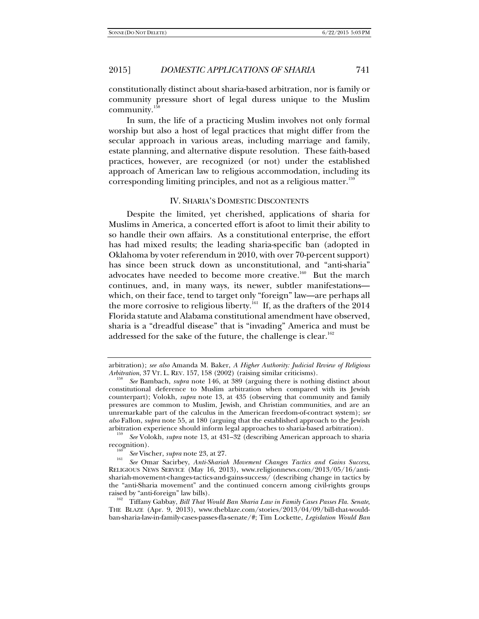constitutionally distinct about sharia-based arbitration, nor is family or community pressure short of legal duress unique to the Muslim community.158

In sum, the life of a practicing Muslim involves not only formal worship but also a host of legal practices that might differ from the secular approach in various areas, including marriage and family, estate planning, and alternative dispute resolution. These faith-based practices, however, are recognized (or not) under the established approach of American law to religious accommodation, including its corresponding limiting principles, and not as a religious matter.<sup>159</sup>

### IV. SHARIA'S DOMESTIC DISCONTENTS

Despite the limited, yet cherished, applications of sharia for Muslims in America, a concerted effort is afoot to limit their ability to so handle their own affairs. As a constitutional enterprise, the effort has had mixed results; the leading sharia-specific ban (adopted in Oklahoma by voter referendum in 2010, with over 70-percent support) has since been struck down as unconstitutional, and "anti-sharia" advocates have needed to become more creative.<sup>160</sup> But the march continues, and, in many ways, its newer, subtler manifestations which, on their face, tend to target only "foreign" law—are perhaps all the more corrosive to religious liberty.<sup>161</sup> If, as the drafters of the  $2014$ Florida statute and Alabama constitutional amendment have observed, sharia is a "dreadful disease" that is "invading" America and must be addressed for the sake of the future, the challenge is clear.<sup>162</sup>

arbitration); *see also* Amanda M. Baker, *A Higher Authority: Judicial Review of Religious Arbitration*, 37 VT. L. REV. 157, 158 (2002) (raising similar criticisms).

*See* Bambach, *supra* note 146, at 389 (arguing there is nothing distinct about constitutional deference to Muslim arbitration when compared with its Jewish counterpart); Volokh, *supra* note 13, at 435 (observing that community and family pressures are common to Muslim, Jewish, and Christian communities, and are an unremarkable part of the calculus in the American freedom-of-contract system); *see also* Fallon, *supra* note 55, at 180 (arguing that the established approach to the Jewish arbitration experience should inform legal approaches to sharia-based arbitration).

*See* Volokh, *supra* note 13, at 431–32 (describing American approach to sharia recognition). 160 *See* Vischer, *supra* note 23, at 27. 161

*See* Omar Sacirbey, *Anti-Shariah Movement Changes Tactics and Gains Success*, RELIGIOUS NEWS SERVICE (May 16, 2013), www.religionnews.com/2013/05/16/antishariah-movement-changes-tactics-and-gains-success/ (describing change in tactics by the "anti-Sharia movement" and the continued concern among civil-rights groups

<sup>&</sup>lt;sup>162</sup> Tiffany Gabbay, *Bill That Would Ban Sharia Law in Family Cases Passes Fla. Senate*, THE BLAZE (Apr. 9, 2013), www.theblaze.com/stories/2013/04/09/bill-that-wouldban-sharia-law-in-family-cases-passes-fla-senate/#; Tim Lockette, *Legislation Would Ban*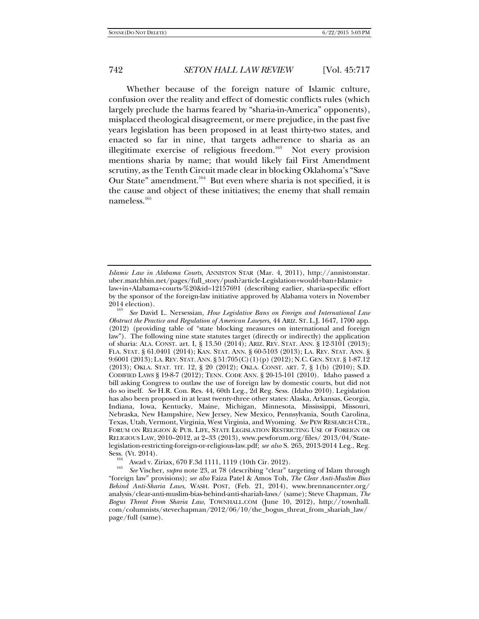Whether because of the foreign nature of Islamic culture, confusion over the reality and effect of domestic conflicts rules (which largely preclude the harms feared by "sharia-in-America" opponents), misplaced theological disagreement, or mere prejudice, in the past five years legislation has been proposed in at least thirty-two states, and enacted so far in nine, that targets adherence to sharia as an illegitimate exercise of religious freedom.<sup>163</sup> Not every provision mentions sharia by name; that would likely fail First Amendment scrutiny, as the Tenth Circuit made clear in blocking Oklahoma's "Save Our State" amendment.<sup>164</sup> But even where sharia is not specified, it is the cause and object of these initiatives; the enemy that shall remain nameless.165

*Islamic Law in Alabama Courts*, ANNISTON STAR (Mar. 4, 2011), http://annistonstar. uber.matchbin.net/pages/full\_story/push?article-Legislation+would+ban+Islamic+ law+in+Alabama+courts-%20&id=12157691 (describing earlier, sharia-specific effort by the sponsor of the foreign-law initiative approved by Alabama voters in November 2014 election).

*See* David L. Nersessian, *How Legislative Bans on Foreign and International Law Obstruct the Practice and Regulation of American Lawyers*, 44 ARIZ. ST. L.J. 1647, 1700 app. (2012) (providing table of "state blocking measures on international and foreign law"). The following nine state statutes target (directly or indirectly) the application of sharia: ALA. CONST. art. I, § 13.50 (2014); ARIZ. REV. STAT. ANN. § 12-3101 (2013); FLA. STAT. § 61.0401 (2014); KAN. STAT. ANN. § 60-5103 (2013); LA. REV. STAT. ANN. § 9:6001 (2013); LA. REV. STAT. ANN. § 51:705(C)(1)(p) (2012); N.C. GEN. STAT. § 1-87.12 (2013); OKLA. STAT. TIT. 12, § 20 (2012); OKLA. CONST. ART. 7, § 1(b) (2010); S.D. CODIFIED LAWS § 19-8-7 (2012); TENN. CODE ANN. § 20-15-101 (2010). Idaho passed a bill asking Congress to outlaw the use of foreign law by domestic courts, but did not do so itself. *See* H.R. Con. Res. 44, 60th Leg., 2d Reg. Sess. (Idaho 2010). Legislation has also been proposed in at least twenty-three other states: Alaska, Arkansas, Georgia, Indiana, Iowa, Kentucky, Maine, Michigan, Minnesota, Mississippi, Missouri, Nebraska, New Hampshire, New Jersey, New Mexico, Pennsylvania, South Carolina, Texas, Utah, Vermont, Virginia, West Virginia, and Wyoming. *See* PEW RESEARCH CTR., FORUM ON RELIGION & PUB. LIFE, STATE LEGISLATION RESTRICTING USE OF FOREIGN OR RELIGIOUS LAW, 2010–2012, at 2–33 (2013), www.pewforum.org/files/ 2013/04/Statelegislation-restricting-foreign-or-religious-law.pdf; *see also* S. 265, 2013-2014 Leg., Reg. Sess. (Vt. 2014). 164 Awad v. Ziriax*,* 670 F.3d 1111, 1119 (10th Cir. 2012). 165 *See* Vischer, *supra* note 23, at 78 (describing "clear" targeting of Islam through

<sup>&</sup>quot;foreign law" provisions); *see also* Faiza Patel & Amos Toh, *The Clear Anti-Muslim Bias Behind Anti-Sharia Laws*, WASH. POST, (Feb. 21, 2014), www.brennancenter.org/ analysis/clear-anti-muslim-bias-behind-anti-shariah-laws/ (same); Steve Chapman, *The Bogus Threat From Sharia Law*, TOWNHALL.COM (June 10, 2012), http://townhall. com/columnists/stevechapman/2012/06/10/the\_bogus\_threat\_from\_shariah\_law/ page/full (same).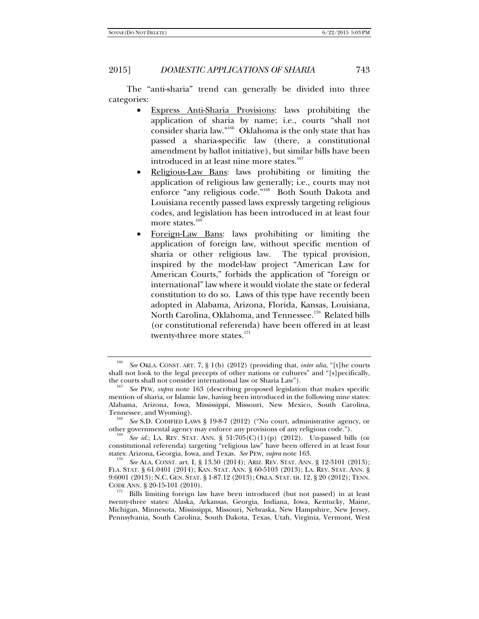The "anti-sharia" trend can generally be divided into three categories:

- Express Anti-Sharia Provisions: laws prohibiting the application of sharia by name; i.e., courts "shall not consider sharia law."166 Oklahoma is the only state that has passed a sharia-specific law (there, a constitutional amendment by ballot initiative), but similar bills have been introduced in at least nine more states.<sup>167</sup>
- Religious-Law Bans: laws prohibiting or limiting the application of religious law generally; i.e., courts may not enforce "any religious code."<sup>168</sup> Both South Dakota and Louisiana recently passed laws expressly targeting religious codes, and legislation has been introduced in at least four more states.<sup>169</sup>
- Foreign-Law Bans: laws prohibiting or limiting the application of foreign law, without specific mention of sharia or other religious law. The typical provision, inspired by the model-law project "American Law for American Courts," forbids the application of "foreign or international" law where it would violate the state or federal constitution to do so. Laws of this type have recently been adopted in Alabama, Arizona, Florida, Kansas, Louisiana, North Carolina, Oklahoma, and Tennessee.<sup>170</sup> Related bills (or constitutional referenda) have been offered in at least twenty-three more states.<sup>171</sup>

<sup>166</sup> *See* OKLA. CONST. ART. 7, § 1(b) (2012) (providing that, *inter alia*, "[t]he courts shall not look to the legal precepts of other nations or cultures" and "[s]pecifically, the courts shall not consider international law or Sharia Law").

See PEW, *supra* note 163 (describing proposed legislation that makes specific mention of sharia, or Islamic law, having been introduced in the following nine states: Alabama, Arizona, Iowa, Mississippi, Missouri, New Mexico, South Carolina,

<sup>&</sup>lt;sup>168</sup> See S.D. CODIFIED LAWS § 19-8-7 (2012) ("No court, administrative agency, or other governmental agency may enforce any provisions of any religious code.").

See id.; LA. REV. STAT. ANN. §  $51:705(C)(1)(p)$  (2012). Un-passed bills (or constitutional referenda) targeting "religious law" have been offered in at least four states: Arizona, Georgia, Iowa, and Texas. *See* PEW, *supra* note 163. 170

*See* ALA. CONST. art. I, § 13.50 (2014); ARIZ. REV. STAT. ANN. § 12-3101 (2013); FLA. STAT. § 61.0401 (2014); KAN. STAT. ANN. § 60-5103 (2013); LA. REV. STAT. ANN. § 9:6001 (2013); N.C. GEN. STAT. § 1-87.12 (2013); OKLA. STAT. tit. 12, § 20 (2012); TENN.

Bills limiting foreign law have been introduced (but not passed) in at least twenty-three states: Alaska, Arkansas, Georgia, Indiana, Iowa, Kentucky, Maine, Michigan, Minnesota, Mississippi, Missouri, Nebraska, New Hampshire, New Jersey, Pennsylvania, South Carolina, South Dakota, Texas, Utah, Virginia, Vermont, West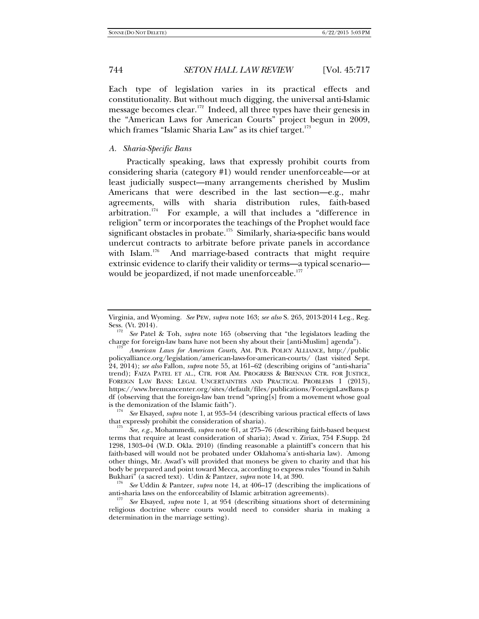Each type of legislation varies in its practical effects and constitutionality. But without much digging, the universal anti-Islamic message becomes clear.<sup>172</sup> Indeed, all three types have their genesis in the "American Laws for American Courts" project begun in 2009, which frames "Islamic Sharia Law" as its chief target. $173$ 

# *A. Sharia-Specific Bans*

Practically speaking, laws that expressly prohibit courts from considering sharia (category #1) would render unenforceable—or at least judicially suspect—many arrangements cherished by Muslim Americans that were described in the last section—e.g., mahr agreements, wills with sharia distribution rules, faith-based arbitration.174 For example, a will that includes a "difference in religion" term or incorporates the teachings of the Prophet would face significant obstacles in probate.<sup>175</sup> Similarly, sharia-specific bans would undercut contracts to arbitrate before private panels in accordance with Islam.<sup>176</sup> And marriage-based contracts that might require extrinsic evidence to clarify their validity or terms—a typical scenario would be jeopardized, if not made unenforceable.<sup>177</sup>

 *See* Elsayed, *supra* note 1, at 953–54 (describing various practical effects of laws that expressly prohibit the consideration of sharia). 175 *See, e.g.*, Mohammedi, *supra* note 61, at 275–76 (describing faith-based bequest

<sup>176</sup> See Uddin & Pantzer, *supra* note 14, at 406–17 (describing the implications of anti-sharia laws on the enforceability of Islamic arbitration agreements).

See Elsayed, *supra* note 1, at 954 (describing situations short of determining religious doctrine where courts would need to consider sharia in making a determination in the marriage setting).

Virginia, and Wyoming. *See* PEW, *supra* note 163; *see also* S. 265, 2013-2014 Leg., Reg. Sess. (Vt. 2014).

*See* Patel & Toh, *supra* note 165 (observing that "the legislators leading the charge for foreign-law bans have not been shy about their [anti-Muslim] agenda").

*American Laws for American Courts*, AM. PUB. POLICY ALLIANCE, http://public policyalliance.org/legislation/american-laws-for-american-courts/ (last visited Sept. 24, 2014); *see also* Fallon, *supra* note 55, at 161–62 (describing origins of "anti-sharia" trend); FAIZA PATEL ET AL., CTR. FOR AM. PROGRESS & BRENNAN CTR. FOR JUSTICE, FOREIGN LAW BANS: LEGAL UNCERTAINTIES AND PRACTICAL PROBLEMS 1 (2013), https://www.brennancenter.org/sites/default/files/publications/ForeignLawBans.p df (observing that the foreign-law ban trend "spring[s] from a movement whose goal is the demonization of the Islamic faith").

terms that require at least consideration of sharia); Awad v. Ziriax, 754 F.Supp. 2d 1298, 1303–04 (W.D. Okla. 2010) (finding reasonable a plaintiff's concern that his faith-based will would not be probated under Oklahoma's anti-sharia law). Among other things, Mr. Awad's will provided that moneys be given to charity and that his body be prepared and point toward Mecca, according to express rules "found in Sahih Bukhari" (a sacred text). Udin & Pantzer, *supra* note 14, at 390.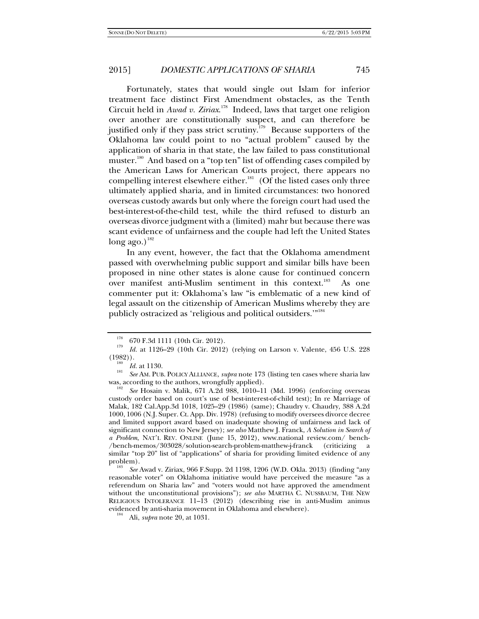Fortunately, states that would single out Islam for inferior treatment face distinct First Amendment obstacles, as the Tenth Circuit held in *Awad v. Ziriax*. 178 Indeed, laws that target one religion over another are constitutionally suspect, and can therefore be justified only if they pass strict scrutiny.<sup>179</sup> Because supporters of the Oklahoma law could point to no "actual problem" caused by the application of sharia in that state, the law failed to pass constitutional muster.<sup>180</sup> And based on a "top ten" list of offending cases compiled by the American Laws for American Courts project, there appears no compelling interest elsewhere either.<sup>181</sup> (Of the listed cases only three ultimately applied sharia, and in limited circumstances: two honored overseas custody awards but only where the foreign court had used the best-interest-of-the-child test, while the third refused to disturb an overseas divorce judgment with a (limited) mahr but because there was scant evidence of unfairness and the couple had left the United States  $long ago.)$ <sup>182</sup>

In any event, however, the fact that the Oklahoma amendment passed with overwhelming public support and similar bills have been proposed in nine other states is alone cause for continued concern over manifest anti-Muslim sentiment in this context.<sup>183</sup> As one commenter put it: Oklahoma's law "is emblematic of a new kind of legal assault on the citizenship of American Muslims whereby they are publicly ostracized as 'religious and political outsiders.'"184

 $^{178}$  670 F.3d 1111 (10th Cir. 2012).

*II*<sup>13</sup> *Id.* at 1126–29 (10th Cir. 2012) (relying on Larson v. Valente, 456 U.S. 228 (1982)).

<sup>&</sup>lt;sup>190</sup> *Id.* at 1130.<br><sup>181</sup> See AM. PUB. POLICY ALLIANCE, *supra* note 173 (listing ten cases where sharia law was, according to the authors, wrongfully applied).

*See* Hosain v. Malik, 671 A.2d 988, 1010–11 (Md. 1996) (enforcing overseas custody order based on court's use of best-interest-of-child test); In re Marriage of Malak, 182 Cal.App.3d 1018, 1025–29 (1986) (same); Chaudry v. Chaudry, 388 A.2d 1000, 1006 (N.J. Super. Ct. App. Div. 1978) (refusing to modify oversees divorce decree and limited support award based on inadequate showing of unfairness and lack of significant connection to New Jersey); *see also* Matthew J. Franck, *A Solution in Search of a Problem*, NAT'L REV. ONLINE (June 15, 2012), www.national review.com/ bench- /bench-memos/303028/solution-search-problem-matthew-j-franck (criticizing a similar "top 20" list of "applications" of sharia for providing limited evidence of any problem).

*See* Awad v. Ziriax, 966 F.Supp. 2d 1198, 1206 (W.D. Okla. 2013) (finding "any reasonable voter" on Oklahoma initiative would have perceived the measure "as a referendum on Sharia law" and "voters would not have approved the amendment without the unconstitutional provisions"); *see also* MARTHA C. NUSSBAUM, THE NEW RELIGIOUS INTOLERANCE 11–13 (2012) (describing rise in anti-Muslim animus evidenced by anti-sharia movement in Oklahoma and elsewhere). 184 Ali, *supra* note 20, at 1031.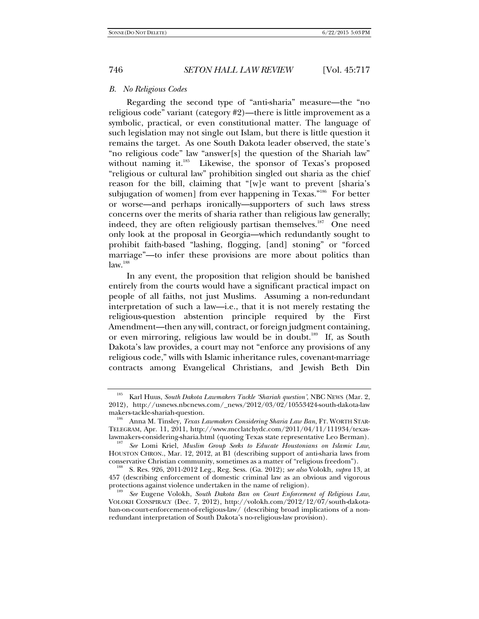# *B. No Religious Codes*

Regarding the second type of "anti-sharia" measure—the "no religious code" variant (category #2)—there is little improvement as a symbolic, practical, or even constitutional matter. The language of such legislation may not single out Islam, but there is little question it remains the target. As one South Dakota leader observed, the state's "no religious code" law "answer[s] the question of the Shariah law" without naming it.<sup>185</sup> Likewise, the sponsor of Texas's proposed "religious or cultural law" prohibition singled out sharia as the chief reason for the bill, claiming that "[w]e want to prevent [sharia's subjugation of women] from ever happening in Texas."<sup>186</sup> For better or worse—and perhaps ironically—supporters of such laws stress concerns over the merits of sharia rather than religious law generally; indeed, they are often religiously partisan themselves.<sup>187</sup> One need only look at the proposal in Georgia—which redundantly sought to prohibit faith-based "lashing, flogging, [and] stoning" or "forced marriage"—to infer these provisions are more about politics than  $law.<sup>188</sup>$ 

In any event, the proposition that religion should be banished entirely from the courts would have a significant practical impact on people of all faiths, not just Muslims. Assuming a non-redundant interpretation of such a law—i.e., that it is not merely restating the religious-question abstention principle required by the First Amendment—then any will, contract, or foreign judgment containing, or even mirroring, religious law would be in doubt.<sup>189</sup> If, as South Dakota's law provides, a court may not "enforce any provisions of any religious code," wills with Islamic inheritance rules, covenant-marriage contracts among Evangelical Christians, and Jewish Beth Din

<sup>185</sup> Karl Huus, *South Dakota Lawmakers Tackle 'Shariah question'*, NBC NEWS (Mar. 2, 2012), http://usnews.nbcnews.com/\_news/2012/03/02/10553424-south-dakota-law makers-tackle-shariah-question.

<sup>&</sup>lt;sup>186</sup> Anna M. Tinsley, *Texas Lawmakers Considering Sharia Law Ban*, FT. WORTH STAR-TELEGRAM, Apr. 11, 2011, http://www.mcclatchydc.com/2011/04/11/111934/texas-

<sup>&</sup>lt;sup>187</sup> See Lomi Kriel, *Muslim Group Seeks to Educate Houstonians on Islamic Law*, HOUSTON CHRON., Mar. 12, 2012, at B1 (describing support of anti-sharia laws from conservative Christian community, sometimes as a matter of "religious freedom"). 188 S. Res. 926, 2011-2012 Leg., Reg. Sess. (Ga. 2012); *see also* Volokh, *supra* 13, at

<sup>457 (</sup>describing enforcement of domestic criminal law as an obvious and vigorous

protections against violence undertaken in the name of religion). 189 *See* Eugene Volokh, *South Dakota Ban on Court Enforcement of Religious Law*, VOLOKH CONSPIRACY (Dec. 7, 2012), http://volokh.com/2012/12/07/south-dakotaban-on-court-enforcement-of-religious-law/ (describing broad implications of a nonredundant interpretation of South Dakota's no-religious-law provision).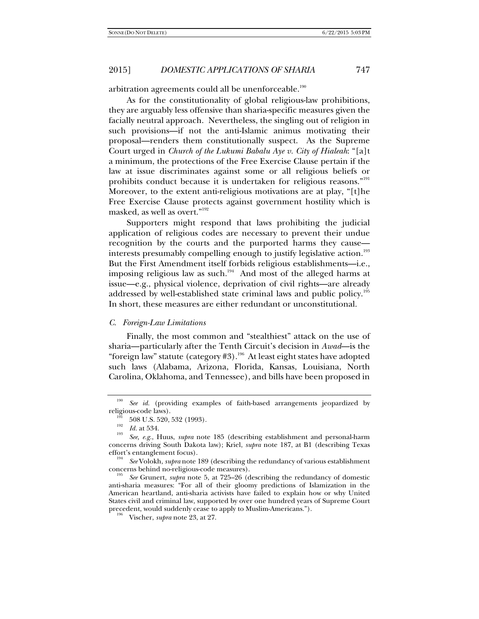arbitration agreements could all be unenforceable.<sup>190</sup>

As for the constitutionality of global religious-law prohibitions, they are arguably less offensive than sharia-specific measures given the facially neutral approach. Nevertheless, the singling out of religion in such provisions—if not the anti-Islamic animus motivating their proposal—renders them constitutionally suspect. As the Supreme Court urged in *Church of the Lukumi Babalu Aye v. City of Hialeah*: "[a]t a minimum, the protections of the Free Exercise Clause pertain if the law at issue discriminates against some or all religious beliefs or prohibits conduct because it is undertaken for religious reasons."<sup>191</sup> Moreover, to the extent anti-religious motivations are at play, "[t]he Free Exercise Clause protects against government hostility which is masked, as well as overt."192

Supporters might respond that laws prohibiting the judicial application of religious codes are necessary to prevent their undue recognition by the courts and the purported harms they cause interests presumably compelling enough to justify legislative action.<sup>193</sup> But the First Amendment itself forbids religious establishments—i.e., imposing religious law as such.<sup>194</sup> And most of the alleged harms at issue—e.g., physical violence, deprivation of civil rights—are already addressed by well-established state criminal laws and public policy.<sup>195</sup> In short, these measures are either redundant or unconstitutional.

# *C. Foreign-Law Limitations*

Finally, the most common and "stealthiest" attack on the use of sharia—particularly after the Tenth Circuit's decision in *Awad*—is the "foreign law" statute (category  $#3$ ).<sup>196</sup> At least eight states have adopted such laws (Alabama, Arizona, Florida, Kansas, Louisiana, North Carolina, Oklahoma, and Tennessee), and bills have been proposed in

<sup>&</sup>lt;sup>190</sup> *See id.* (providing examples of faith-based arrangements jeopardized by religious-code laws).

 $r_{\text{H2}}^{191}$  508 U.S. 520, 532 (1993).<br><sup>193</sup> *Id.* at 534.

*See, e.g.*, Huus, *supra* note 185 (describing establishment and personal-harm concerns driving South Dakota law); Kriel, *supra* note 187, at B1 (describing Texas

effort's entanglement focus).<br><sup>194</sup> *See* Volokh, *supra* note 189 (describing the redundancy of various establishment<br>concerns behind no-religious-code measures).

See Grunert, *supra* note 5, at 725–26 (describing the redundancy of domestic anti-sharia measures: "For all of their gloomy predictions of Islamization in the American heartland, anti-sharia activists have failed to explain how or why United States civil and criminal law, supported by over one hundred years of Supreme Court precedent, would suddenly cease to apply to Muslim-Americans."). 196 Vischer, *supra* note 23, at 27.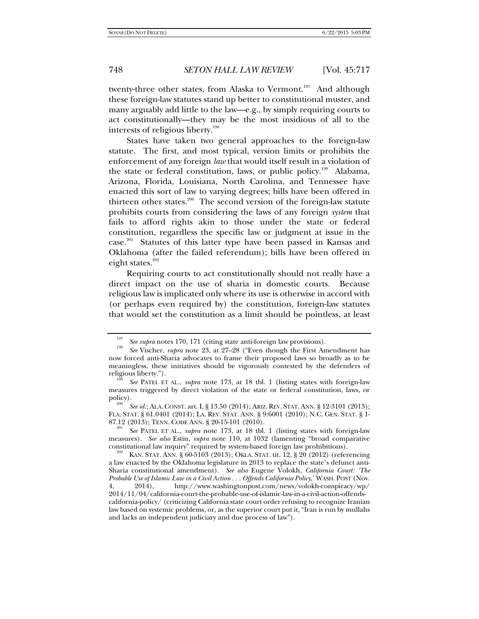twenty-three other states, from Alaska to Vermont.<sup>197</sup> And although these foreign-law statutes stand up better to constitutional muster, and many arguably add little to the law—e.g., by simply requiring courts to act constitutionally—they may be the most insidious of all to the interests of religious liberty.<sup>198</sup>

States have taken two general approaches to the foreign-law statute. The first, and most typical, version limits or prohibits the enforcement of any foreign *law* that would itself result in a violation of the state or federal constitution, laws, or public policy.<sup>199</sup> Alabama, Arizona, Florida, Louisiana, North Carolina, and Tennessee have enacted this sort of law to varying degrees; bills have been offered in thirteen other states.<sup>200</sup> The second version of the foreign-law statute prohibits courts from considering the laws of any foreign *system* that fails to afford rights akin to those under the state or federal constitution, regardless the specific law or judgment at issue in the case.<sup>201</sup> Statutes of this latter type have been passed in Kansas and Oklahoma (after the failed referendum); bills have been offered in eight states. $202$ 

Requiring courts to act constitutionally should not really have a direct impact on the use of sharia in domestic courts. Because religious law is implicated only where its use is otherwise in accord with (or perhaps even required by) the constitution, foreign-law statutes that would set the constitution as a limit should be pointless, at least

<sup>197</sup> <sup>197</sup> See supra notes 170, 171 (citing state anti-foreign law provisions).

*See* Vischer, *supra* note 23, at 27–28 ("Even though the First Amendment has now forced anti-Sharia advocates to frame their proposed laws so broadly as to be meaningless, these initiatives should be vigorously contested by the defenders of religious liberty.").

See PATEL ET AL., *supra* note 173, at 18 tbl. 1 (listing states with foreign-law measures triggered by direct violation of the state or federal constitution, laws, or policy).

*See id.*; ALA.CONST. art. I, § 13.50 (2014); ARIZ.REV. STAT.ANN. § 12-3101 (2013); FLA. STAT. § 61.0401 (2014); LA. REV. STAT. ANN. § 9:6001 (2010); N.C. GEN. STAT. § 1- 87.12 (2013); TENN. CODE ANN. § 20-15-101 (2010).<br><sup>201</sup>*See* PATEL ET AL., *supra* note 173, at 18 tbl. 1 (listing states with foreign-law

measures). *See also* Estin, *supra* note 110, at 1032 (lamenting "broad comparative

KAN STAT. ANN. § 60-5103 (2013); OKLA. STAT. tit. 12, § 20 (2012) (referencing a law enacted by the Oklahoma legislature in 2013 to replace the state's defunct anti-Sharia constitutional amendment). *See also* Eugene Volokh, *California Court: 'The Probable Use of Islamic Law in a Civil Action . . . Offends California Policy*,' WASH. POST (Nov. 2014), http://www.washingtonpost.com/news/volokh-conspiracy/wp/ 2014/11/04/california-court-the-probable-use-of-islamic-law-in-a-civil-action-offendscalifornia-policy/ (criticizing California state court order refusing to recognize Iranian law based on systemic problems, or, as the superior court put it, "Iran is run by mullahs and lacks an independent judiciary and due process of law").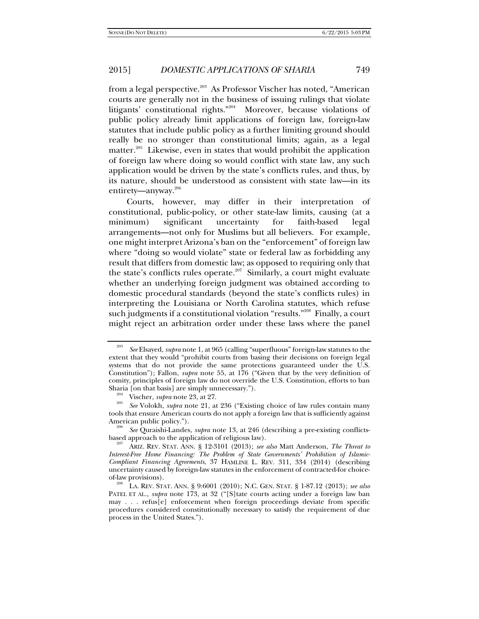from a legal perspective.<sup>203</sup> As Professor Vischer has noted, "American courts are generally not in the business of issuing rulings that violate litigants' constitutional rights."204 Moreover, because violations of public policy already limit applications of foreign law, foreign-law statutes that include public policy as a further limiting ground should really be no stronger than constitutional limits; again, as a legal matter.<sup>205</sup> Likewise, even in states that would prohibit the application of foreign law where doing so would conflict with state law, any such application would be driven by the state's conflicts rules, and thus, by its nature, should be understood as consistent with state law—in its entirety—anyway.206

Courts, however, may differ in their interpretation of constitutional, public-policy, or other state-law limits, causing (at a minimum) significant uncertainty for faith-based legal arrangements—not only for Muslims but all believers. For example, one might interpret Arizona's ban on the "enforcement" of foreign law where "doing so would violate" state or federal law as forbidding any result that differs from domestic law; as opposed to requiring only that the state's conflicts rules operate.<sup>207</sup> Similarly, a court might evaluate whether an underlying foreign judgment was obtained according to domestic procedural standards (beyond the state's conflicts rules) in interpreting the Louisiana or North Carolina statutes, which refuse such judgments if a constitutional violation "results."<sup>208</sup> Finally, a court might reject an arbitration order under these laws where the panel

American public policy.").<br><sup>206</sup> *See* Quraishi-Landes, *supra* note 13, at 246 (describing a pre-existing conflicts-<br>based approach to the application of religious law).

<sup>203</sup> *See* Elsayed, *supra* note 1, at 965 (calling "superfluous" foreign-law statutes to the extent that they would "prohibit courts from basing their decisions on foreign legal systems that do not provide the same protections guaranteed under the U.S. Constitution"); Fallon, *supra* note 55, at 176 ("Given that by the very definition of comity, principles of foreign law do not override the U.S. Constitution, efforts to ban Sharia [on that basis] are simply unnecessary.").<br><sup>204</sup> Vischer, *supra* note 23, at 27.<br><sup>205</sup> *See* Volokh, *supra* note 21, at 236 ("Existing choice of law rules contain many

tools that ensure American courts do not apply a foreign law that is sufficiently against

based approach to the application of religious law). 207 ARIZ. REV. STAT. ANN. § 12-3101 (2013); *see also* Matt Anderson, *The Threat to Interest-Free Home Financing: The Problem of State Governments' Prohibition of Islamic-Compliant Financing Agreements*, 37 HAMLINE L. REV. 311, 334 (2014) (describing uncertainty caused by foreign-law statutes in the enforcement of contracted-for choice-

of-law provisions). 208 LA. REV. STAT. ANN. § 9:6001 (2010); N.C. GEN. STAT. § 1-87.12 (2013); *see also*  PATEL ET AL., *supra* note 173, at 32 ("[S]tate courts acting under a foreign law ban may . . . refus[e] enforcement when foreign proceedings deviate from specific procedures considered constitutionally necessary to satisfy the requirement of due process in the United States.").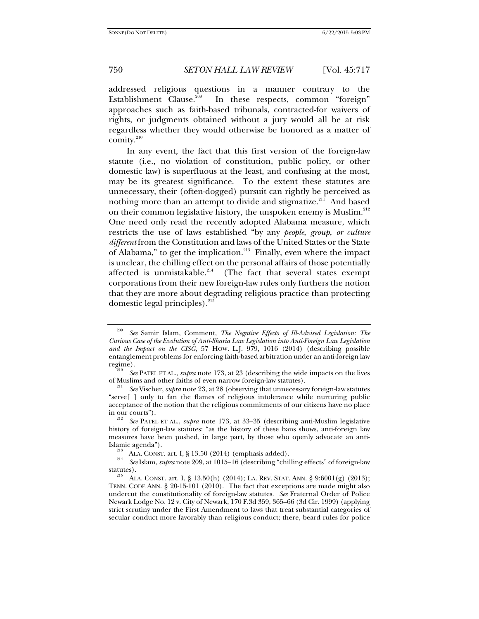addressed religious questions in a manner contrary to the Establishment Clause.<sup>209</sup> In these respects, common "foreign" approaches such as faith-based tribunals, contracted-for waivers of rights, or judgments obtained without a jury would all be at risk regardless whether they would otherwise be honored as a matter of comity. $210$ 

In any event, the fact that this first version of the foreign-law statute (i.e., no violation of constitution, public policy, or other domestic law) is superfluous at the least, and confusing at the most, may be its greatest significance. To the extent these statutes are unnecessary, their (often-dogged) pursuit can rightly be perceived as nothing more than an attempt to divide and stigmatize.<sup>211</sup> And based on their common legislative history, the unspoken enemy is Muslim.<sup>212</sup> One need only read the recently adopted Alabama measure, which restricts the use of laws established "by any *people, group, or culture different* from the Constitution and laws of the United States or the State of Alabama," to get the implication.<sup>213</sup> Finally, even where the impact is unclear, the chilling effect on the personal affairs of those potentially affected is unmistakable. $214$  (The fact that several states exempt corporations from their new foreign-law rules only furthers the notion that they are more about degrading religious practice than protecting domestic legal principles). $^{215}$ 

<sup>209</sup> *See* Samir Islam, Comment, *The Negative Effects of Ill-Advised Legislation: The Curious Case of the Evolution of Anti-Sharia Law Legislation into Anti-Foreign Law Legislation and the Impact on the CISG*, 57 HOW. L.J. 979, 1016 (2014) (describing possible entanglement problems for enforcing faith-based arbitration under an anti-foreign law regime). 210 *See* PATEL ET AL., *supra* note 173, at 23 (describing the wide impacts on the lives

of Muslims and other faiths of even narrow foreign-law statutes). 211 *See* Vischer, *supra* note 23, at 28 (observing that unnecessary foreign-law statutes

<sup>&</sup>quot;serve[ ] only to fan the flames of religious intolerance while nurturing public acceptance of the notion that the religious commitments of our citizens have no place

<sup>&</sup>lt;sup>212</sup> *See PATEL ET AL., supra* note 173, at 33–35 (describing anti-Muslim legislative history of foreign-law statutes: "as the history of these bans shows, anti-foreign law measures have been pushed, in large part, by those who openly advocate an anti-Islamic agenda").<br><sup>213</sup> ALA. CONST. art. I, § 13.50 (2014) (emphasis added).

*See* Islam, *supra* note 209, at 1015–16 (describing "chilling effects" of foreign-law statutes).<br><sup>215</sup> ALA. CONST. art. I, § 13.50(h) (2014); LA. REV. STAT. ANN. § 9:6001(g) (2013);

TENN. CODE ANN. § 20-15-101 (2010). The fact that exceptions are made might also undercut the constitutionality of foreign-law statutes. *See* Fraternal Order of Police Newark Lodge No. 12 v. City of Newark, 170 F.3d 359, 365–66 (3d Cir. 1999) (applying strict scrutiny under the First Amendment to laws that treat substantial categories of secular conduct more favorably than religious conduct; there, beard rules for police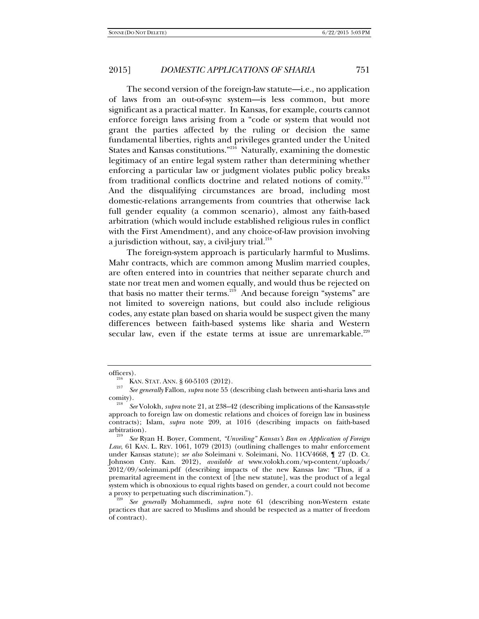The second version of the foreign-law statute—i.e., no application of laws from an out-of-sync system—is less common, but more significant as a practical matter. In Kansas, for example, courts cannot enforce foreign laws arising from a "code or system that would not grant the parties affected by the ruling or decision the same fundamental liberties, rights and privileges granted under the United States and Kansas constitutions."216 Naturally, examining the domestic legitimacy of an entire legal system rather than determining whether enforcing a particular law or judgment violates public policy breaks from traditional conflicts doctrine and related notions of comity.<sup>217</sup> And the disqualifying circumstances are broad, including most domestic-relations arrangements from countries that otherwise lack full gender equality (a common scenario), almost any faith-based arbitration (which would include established religious rules in conflict with the First Amendment), and any choice-of-law provision involving a jurisdiction without, say, a civil-jury trial. $^{218}$ 

The foreign-system approach is particularly harmful to Muslims. Mahr contracts, which are common among Muslim married couples, are often entered into in countries that neither separate church and state nor treat men and women equally, and would thus be rejected on that basis no matter their terms.<sup>219</sup> And because foreign "systems" are not limited to sovereign nations, but could also include religious codes, any estate plan based on sharia would be suspect given the many differences between faith-based systems like sharia and Western secular law, even if the estate terms at issue are unremarkable. $220$ 

officers).<br><sup>216</sup> KAN. STAT. ANN. § 60-5103 (2012).<br><sup>217</sup> See can grally Fallon, subtrained 55 (

*See generally* Fallon, *supra* note 55 (describing clash between anti-sharia laws and comity).

*See* Volokh, *supra* note 21, at 238–42 (describing implications of the Kansas-style approach to foreign law on domestic relations and choices of foreign law in business contracts); Islam, *supra* note 209, at 1016 (describing impacts on faith-based arbitration).

*See* Ryan H. Boyer, Comment, *"Unveiling" Kansas's Ban on Application of Foreign Law*, 61 KAN. L. REV. 1061, 1079 (2013) (outlining challenges to mahr enforcement under Kansas statute); *see also* Soleimani v. Soleimani, No. 11CV4668, ¶ 27 (D. Ct. Johnson Cnty. Kan. 2012), *available at* www.volokh.com/wp-content/uploads/ 2012/09/soleimani.pdf (describing impacts of the new Kansas law: "Thus, if a premarital agreement in the context of [the new statute], was the product of a legal system which is obnoxious to equal rights based on gender, a court could not become

See generally Mohammedi, *supra* note 61 (describing non-Western estate practices that are sacred to Muslims and should be respected as a matter of freedom of contract).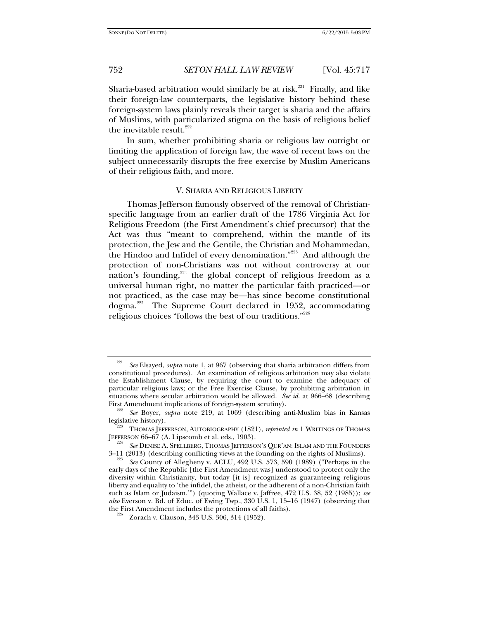Sharia-based arbitration would similarly be at risk.<sup>221</sup> Finally, and like their foreign-law counterparts, the legislative history behind these foreign-system laws plainly reveals their target is sharia and the affairs of Muslims, with particularized stigma on the basis of religious belief the inevitable result. $222$ 

In sum, whether prohibiting sharia or religious law outright or limiting the application of foreign law, the wave of recent laws on the subject unnecessarily disrupts the free exercise by Muslim Americans of their religious faith, and more.

## V. SHARIA AND RELIGIOUS LIBERTY

Thomas Jefferson famously observed of the removal of Christianspecific language from an earlier draft of the 1786 Virginia Act for Religious Freedom (the First Amendment's chief precursor) that the Act was thus "meant to comprehend, within the mantle of its protection, the Jew and the Gentile, the Christian and Mohammedan, the Hindoo and Infidel of every denomination."223 And although the protection of non-Christians was not without controversy at our nation's founding, $224$  the global concept of religious freedom as a universal human right, no matter the particular faith practiced—or not practiced, as the case may be—has since become constitutional dogma.225 The Supreme Court declared in 1952, accommodating religious choices "follows the best of our traditions."226

<sup>221</sup> *See* Elsayed, *supra* note 1, at 967 (observing that sharia arbitration differs from constitutional procedures). An examination of religious arbitration may also violate the Establishment Clause, by requiring the court to examine the adequacy of particular religious laws; or the Free Exercise Clause, by prohibiting arbitration in situations where secular arbitration would be allowed. *See id.* at 966–68 (describing First Amendment implications of foreign-system scrutiny).

<sup>&</sup>lt;sup>222</sup> *See* Boyer, *supra* note 219, at 1069 (describing anti-Muslim bias in Kansas legislative history).

THOMAS JEFFERSON, AUTOBIOGRAPHY (1821), *reprinted in* 1 WRITINGS OF THOMAS JEFFERSON  $66-67$  (A. Lipscomb et al. eds., 1903).

*See* DENISE A. SPELLBERG, THOMAS JEFFERSON'S QUR'AN: ISLAM AND THE FOUNDERS  $3-11$  (2013) (describing conflicting views at the founding on the rights of Muslims).

*See* County of Allegheny v. ACLU, 492 U.S. 573, 590 (1989) ("Perhaps in the early days of the Republic [the First Amendment was] understood to protect only the diversity within Christianity, but today [it is] recognized as guaranteeing religious liberty and equality to 'the infidel, the atheist, or the adherent of a non-Christian faith such as Islam or Judaism.'") (quoting Wallace v. Jaffree, 472 U.S. 38, 52 (1985)); *see also* Everson v. Bd. of Educ. of Ewing Twp., 330 U.S. 1, 15–16 (1947) (observing that the First Amendment includes the protections of all faiths).<br><sup>226</sup> Zorach v. Clauson, 343 U.S. 306, 314 (1952).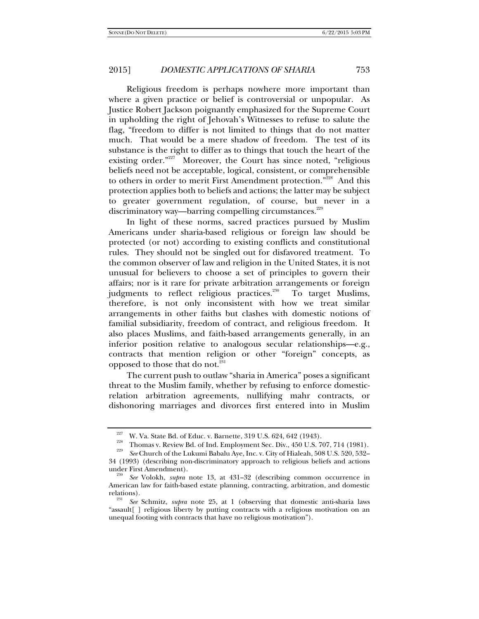Religious freedom is perhaps nowhere more important than where a given practice or belief is controversial or unpopular. As Justice Robert Jackson poignantly emphasized for the Supreme Court in upholding the right of Jehovah's Witnesses to refuse to salute the flag, "freedom to differ is not limited to things that do not matter much. That would be a mere shadow of freedom. The test of its substance is the right to differ as to things that touch the heart of the existing order.<sup>"227</sup> Moreover, the Court has since noted, "religious" beliefs need not be acceptable, logical, consistent, or comprehensible to others in order to merit First Amendment protection."<sup>228</sup> And this protection applies both to beliefs and actions; the latter may be subject to greater government regulation, of course, but never in a discriminatory way—barring compelling circumstances.<sup>229</sup>

In light of these norms, sacred practices pursued by Muslim Americans under sharia-based religious or foreign law should be protected (or not) according to existing conflicts and constitutional rules. They should not be singled out for disfavored treatment. To the common observer of law and religion in the United States, it is not unusual for believers to choose a set of principles to govern their affairs; nor is it rare for private arbitration arrangements or foreign judgments to reflect religious practices.<sup>230</sup> To target Muslims, therefore, is not only inconsistent with how we treat similar arrangements in other faiths but clashes with domestic notions of familial subsidiarity, freedom of contract, and religious freedom. It also places Muslims, and faith-based arrangements generally, in an inferior position relative to analogous secular relationships—e.g., contracts that mention religion or other "foreign" concepts, as opposed to those that do not.<sup>231</sup>

The current push to outlaw "sharia in America" poses a significant threat to the Muslim family, whether by refusing to enforce domesticrelation arbitration agreements, nullifying mahr contracts, or dishonoring marriages and divorces first entered into in Muslim

<sup>&</sup>lt;sup>227</sup> W. Va. State Bd. of Educ. v. Barnette, 319 U.S. 624, 642 (1943).<br><sup>228</sup> Thomas v. Review Bd. of Ind. Employment Sec. Div., 450 U.S. 707, 714 (1981).<br><sup>229</sup> See Church of the Lukumi Babalu Aye, Inc. v. City of Hialeah,

<sup>34 (1993) (</sup>describing non-discriminatory approach to religious beliefs and actions

under First Amendment). 230 *See* Volokh, *supra* note 13, at 431–32 (describing common occurrence in American law for faith-based estate planning, contracting, arbitration, and domestic

See Schmitz, *supra* note 25, at 1 (observing that domestic anti-sharia laws "assault[ ] religious liberty by putting contracts with a religious motivation on an unequal footing with contracts that have no religious motivation").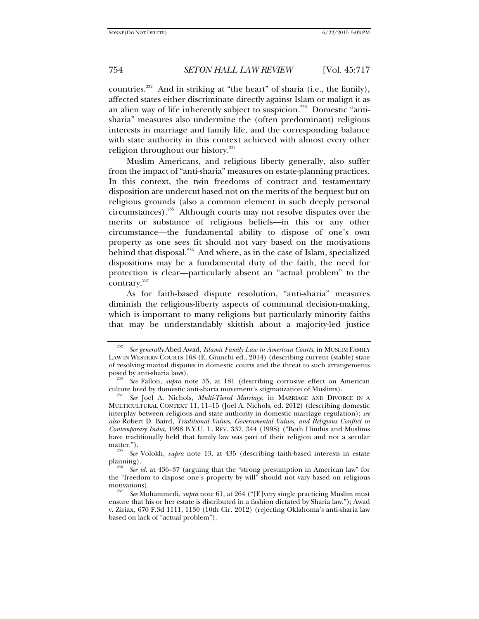countries.232 And in striking at "the heart" of sharia (i.e., the family), affected states either discriminate directly against Islam or malign it as an alien way of life inherently subject to suspicion.<sup>233</sup> Domestic "antisharia" measures also undermine the (often predominant) religious interests in marriage and family life, and the corresponding balance with state authority in this context achieved with almost every other religion throughout our history.<sup>234</sup>

Muslim Americans, and religious liberty generally, also suffer from the impact of "anti-sharia" measures on estate-planning practices. In this context, the twin freedoms of contract and testamentary disposition are undercut based not on the merits of the bequest but on religious grounds (also a common element in such deeply personal circumstances).235 Although courts may not resolve disputes over the merits or substance of religious beliefs—in this or any other circumstance—the fundamental ability to dispose of one's own property as one sees fit should not vary based on the motivations behind that disposal.<sup>236</sup> And where, as in the case of Islam, specialized dispositions may be a fundamental duty of the faith, the need for protection is clear—particularly absent an "actual problem" to the contrary.<sup>237</sup>

As for faith-based dispute resolution, "anti-sharia" measures diminish the religious-liberty aspects of communal decision-making, which is important to many religions but particularly minority faiths that may be understandably skittish about a majority-led justice

<sup>232</sup> *See generally* Abed Awad, *Islamic Family Law in American Courts*, in MUSLIM FAMILY LAW IN WESTERN COURTS 168 (E. Giunchi ed., 2014) (describing current (stable) state of resolving marital disputes in domestic courts and the threat to such arrangements posed by anti-sharia laws).

<sup>&</sup>lt;sup>233</sup> *See* Fallon, *supra* note 55, at 181 (describing corrosive effect on American culture bred by domestic anti-sharia movement's stigmatization of Muslims).

culture bred by domestic anti-sharia movement's stigmatization of Muslims). 234 *See* Joel A. Nichols, *Multi-Tiered Marriage*, in MARRIAGE AND DIVORCE IN A MULTICULTURAL CONTEXT 11, 11–15 (Joel A. Nichols, ed. 2012) (describing domestic interplay between religious and state authority in domestic marriage regulation); *see also* Robert D. Baird, *Traditional Values, Governmental Values, and Religious Conflict in Contemporary India*, 1998 B.Y.U. L. REV. 337, 344 (1998) ("Both Hindus and Muslims have traditionally held that family law was part of their religion and not a secular

matter."). 235 *See* Volokh, *supra* note 13, at 435 (describing faith-based interests in estate planning).

*See id.* at 436–37 (arguing that the "strong presumption in American law" for the "freedom to dispose one's property by will" should not vary based on religious

See Mohammedi, *supra* note 61, at 264 ("[E]very single practicing Muslim must ensure that his or her estate is distributed in a fashion dictated by Sharia law."); Awad v. Ziriax*,* 670 F.3d 1111, 1130 (10th Cir. 2012) (rejecting Oklahoma's anti-sharia law based on lack of "actual problem").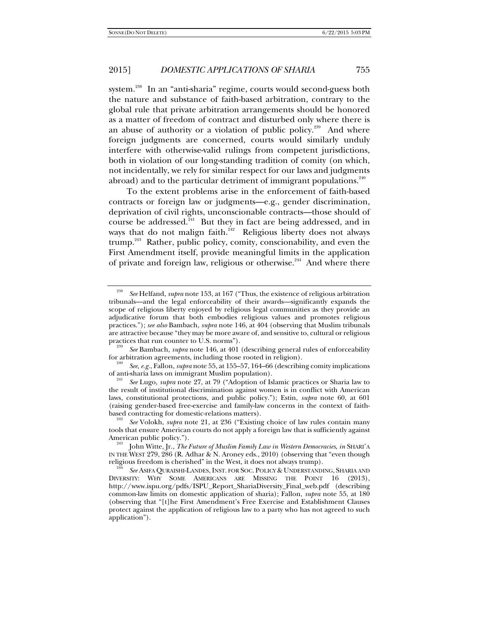system.<sup>238</sup> In an "anti-sharia" regime, courts would second-guess both the nature and substance of faith-based arbitration, contrary to the global rule that private arbitration arrangements should be honored as a matter of freedom of contract and disturbed only where there is an abuse of authority or a violation of public policy.<sup>239</sup> And where foreign judgments are concerned, courts would similarly unduly interfere with otherwise-valid rulings from competent jurisdictions, both in violation of our long-standing tradition of comity (on which, not incidentally, we rely for similar respect for our laws and judgments abroad) and to the particular detriment of immigrant populations.<sup>240</sup>

To the extent problems arise in the enforcement of faith-based contracts or foreign law or judgments—e.g., gender discrimination, deprivation of civil rights, unconscionable contracts—those should of course be addressed.<sup>241</sup> But they in fact are being addressed, and in ways that do not malign faith.<sup> $242$ </sup> Religious liberty does not always trump.<sup>243</sup> Rather, public policy, comity, conscionability, and even the First Amendment itself, provide meaningful limits in the application of private and foreign law, religious or otherwise.<sup>244</sup> And where there

<sup>238</sup> *See* Helfand, *supra* note 153, at 167 ("Thus, the existence of religious arbitration tribunals—and the legal enforceability of their awards—significantly expands the scope of religious liberty enjoyed by religious legal communities as they provide an adjudicative forum that both embodies religious values and promotes religious practices."); *see also* Bambach, *supra* note 146, at 404 (observing that Muslim tribunals are attractive because "they may be more aware of, and sensitive to, cultural or religious practices that run counter to U.S. norms").

<sup>&</sup>lt;sup>239</sup> See Bambach, *supra* note 146, at 401 (describing general rules of enforceability for arbitration agreements, including those rooted in religion).

<sup>&</sup>lt;sup>240</sup> *See, e.g.*, Fallon, *supra* note 55, at 155–57, 164–66 (describing comity implications of anti-sharia laws on immigrant Muslim population).

See Lugo, *supra* note 27, at 79 ("Adoption of Islamic practices or Sharia law to the result of institutional discrimination against women is in conflict with American laws, constitutional protections, and public policy."); Estin, *supra* note 60, at 601 (raising gender-based free-exercise and family-law concerns in the context of faithbased contracting for domestic-relations matters).

*See* Volokh, *supra* note 21, at 236 ("Existing choice of law rules contain many tools that ensure American courts do not apply a foreign law that is sufficiently against American public policy.").<br><sup>243</sup> John Witte, Jr., *The Future of Muslim Family Law in Western Democracies*, *in* SHARI'A

IN THE WEST 279, 286 (R. Adhar & N. Aroney eds., 2010) (observing that "even though religious freedom is cherished" in the West, it does not always trump).

See ASIFA QURAISHI-LANDES, INST. FOR SOC. POLICY & UNDERSTANDING, SHARIA AND DIVERSITY: WHY SOME AMERICANS ARE MISSING THE POINT 16 (2013), http://www.ispu.org/pdfs/ISPU\_Report\_ShariaDiversity\_Final\_web.pdf (describing common-law limits on domestic application of sharia); Fallon, *supra* note 55, at 180 (observing that "[t]he First Amendment's Free Exercise and Establishment Clauses protect against the application of religious law to a party who has not agreed to such application").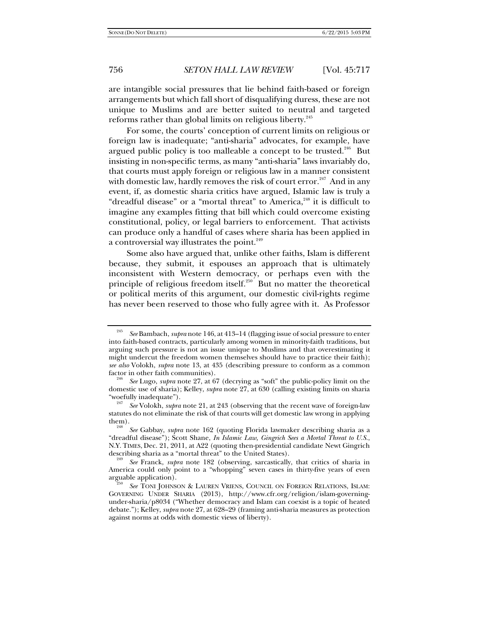are intangible social pressures that lie behind faith-based or foreign arrangements but which fall short of disqualifying duress, these are not unique to Muslims and are better suited to neutral and targeted reforms rather than global limits on religious liberty.<sup>245</sup>

For some, the courts' conception of current limits on religious or foreign law is inadequate; "anti-sharia" advocates, for example, have argued public policy is too malleable a concept to be trusted.<sup>246</sup> But insisting in non-specific terms, as many "anti-sharia" laws invariably do, that courts must apply foreign or religious law in a manner consistent with domestic law, hardly removes the risk of court error.<sup>247</sup> And in any event, if, as domestic sharia critics have argued, Islamic law is truly a "dreadful disease" or a "mortal threat" to America, $248$  it is difficult to imagine any examples fitting that bill which could overcome existing constitutional, policy, or legal barriers to enforcement. That activists can produce only a handful of cases where sharia has been applied in a controversial way illustrates the point.<sup>249</sup>

Some also have argued that, unlike other faiths, Islam is different because, they submit, it espouses an approach that is ultimately inconsistent with Western democracy, or perhaps even with the principle of religious freedom itself. $250$  But no matter the theoretical or political merits of this argument, our domestic civil-rights regime has never been reserved to those who fully agree with it. As Professor

<sup>245</sup> *See* Bambach, *supra* note 146, at 413–14 (flagging issue of social pressure to enter into faith-based contracts, particularly among women in minority-faith traditions, but arguing such pressure is not an issue unique to Muslims and that overestimating it might undercut the freedom women themselves should have to practice their faith); *see also* Volokh, *supra* note 13, at 435 (describing pressure to conform as a common factor in other faith communities).

*See* Lugo, *supra* note 27, at 67 (decrying as "soft" the public-policy limit on the domestic use of sharia); Kelley, *supra* note 27, at 630 (calling existing limits on sharia "woefully inadequate"). 247 *See* Volokh, *supra* note 21, at 243 (observing that the recent wave of foreign-law

statutes do not eliminate the risk of that courts will get domestic law wrong in applying

See Gabbay, *supra* note 162 (quoting Florida lawmaker describing sharia as a "dreadful disease"); Scott Shane, *In Islamic Law, Gingrich Sees a Mortal Threat to U.S.*, N.Y. TIMES, Dec. 21, 2011, at A22 (quoting then-presidential candidate Newt Gingrich describing sharia as a "mortal threat" to the United States).

*See* Franck, *supra* note 182 (observing, sarcastically, that critics of sharia in America could only point to a "whopping" seven cases in thirty-five years of even arguable application). 250 *See* TONI JOHNSON & LAUREN VRIENS, COUNCIL ON FOREIGN RELATIONS, ISLAM:

GOVERNING UNDER SHARIA (2013), http://www.cfr.org/religion/islam-governingunder-sharia/p8034 ("Whether democracy and Islam can coexist is a topic of heated debate."); Kelley, *supra* note 27, at 628–29 (framing anti-sharia measures as protection against norms at odds with domestic views of liberty).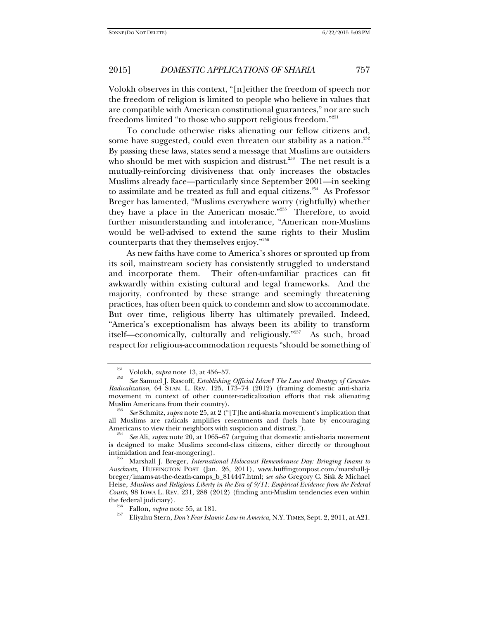Volokh observes in this context, "[n]either the freedom of speech nor the freedom of religion is limited to people who believe in values that are compatible with American constitutional guarantees," nor are such freedoms limited "to those who support religious freedom."<sup>251</sup>

To conclude otherwise risks alienating our fellow citizens and, some have suggested, could even threaten our stability as a nation.<sup>252</sup> By passing these laws, states send a message that Muslims are outsiders who should be met with suspicion and distrust.<sup>253</sup> The net result is a mutually-reinforcing divisiveness that only increases the obstacles Muslims already face—particularly since September 2001—in seeking to assimilate and be treated as full and equal citizens.<sup>254</sup> As Professor Breger has lamented, "Muslims everywhere worry (rightfully) whether they have a place in the American mosaic."<sup>255</sup> Therefore, to avoid further misunderstanding and intolerance, "American non-Muslims would be well-advised to extend the same rights to their Muslim counterparts that they themselves enjoy."256

As new faiths have come to America's shores or sprouted up from its soil, mainstream society has consistently struggled to understand and incorporate them. Their often-unfamiliar practices can fit awkwardly within existing cultural and legal frameworks. And the majority, confronted by these strange and seemingly threatening practices, has often been quick to condemn and slow to accommodate. But over time, religious liberty has ultimately prevailed. Indeed, "America's exceptionalism has always been its ability to transform itself—economically, culturally and religiously."257 As such, broad respect for religious-accommodation requests "should be something of

<sup>&</sup>lt;sup>251</sup> Volokh, *supra* note 13, at 456–57.

*See* Samuel J. Rascoff, *Establishing Official Islam? The Law and Strategy of Counter-Radicalization*, 64 STAN. L. REV. 125, 173–74 (2012) (framing domestic anti-sharia movement in context of other counter-radicalization efforts that risk alienating

<sup>&</sup>lt;sup>253</sup> See Schmitz, *supra* note 25, at 2 ("[T]he anti-sharia movement's implication that all Muslims are radicals amplifies resentments and fuels hate by encouraging Americans to view their neighbors with suspicion and distrust.").

*See* Ali, *supra* note 20, at 1065–67 (arguing that domestic anti-sharia movement is designed to make Muslims second-class citizens, either directly or throughout intimidation and fear-mongering). 255 Marshall J. Breger, *International Holocaust Remembrance Day: Bringing Imams to* 

*Auschwitz*, HUFFINGTON POST (Jan. 26, 2011), www.huffingtonpost.com/marshall-jbreger/imams-at-the-death-camps\_b\_814447.html; *see also* Gregory C. Sisk & Michael Heise, *Muslims and Religious Liberty in the Era of 9/11: Empirical Evidence from the Federal Courts*, 98 IOWA L. REV. 231, 288 (2012) (finding anti-Muslim tendencies even within

the federal judiciary). 256 Fallon, *supra* note 55, at 181. 257 Eliyahu Stern, *Don't Fear Islamic Law in America*, N.Y. TIMES, Sept. 2, 2011, at A21.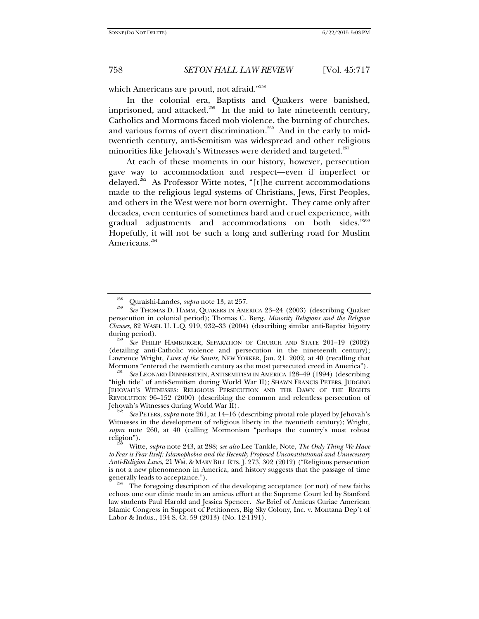which Americans are proud, not afraid."<sup>258</sup>

In the colonial era, Baptists and Quakers were banished, imprisoned, and attacked.<sup>259</sup> In the mid to late nineteenth century, Catholics and Mormons faced mob violence, the burning of churches, and various forms of overt discrimination.<sup>260</sup> And in the early to midtwentieth century, anti-Semitism was widespread and other religious minorities like Jehovah's Witnesses were derided and targeted.<sup>261</sup>

At each of these moments in our history, however, persecution gave way to accommodation and respect—even if imperfect or delayed.<sup>262</sup> As Professor Witte notes, "[t]he current accommodations made to the religious legal systems of Christians, Jews, First Peoples, and others in the West were not born overnight. They came only after decades, even centuries of sometimes hard and cruel experience, with gradual adjustments and accommodations on both sides."263 Hopefully, it will not be such a long and suffering road for Muslim Americans.<sup>264</sup>

<sup>260</sup> See PHILIP HAMBURGER, SEPARATION OF CHURCH AND STATE 201-19 (2002) (detailing anti-Catholic violence and persecution in the nineteenth century); Lawrence Wright, *Lives of the Saints*, NEW YORKER, Jan. 21. 2002, at 40 (recalling that

<sup>261</sup> See LEONARD DINNERSTEIN, ANTISEMITISM IN AMERICA 128–49 (1994) (describing "high tide" of anti-Semitism during World War II); SHAWN FRANCIS PETERS, JUDGING JEHOVAH'S WITNESSES: RELIGIOUS PERSECUTION AND THE DAWN OF THE RIGHTS REVOLUTION 96–152 (2000) (describing the common and relentless persecution of Jehovah's Witnesses during World War II).

 *See* PETERS, *supra* note 261, at 14–16 (describing pivotal role played by Jehovah's Witnesses in the development of religious liberty in the twentieth century); Wright, *supra* note 260, at 40 (calling Mormonism "perhaps the country's most robust religion"). 263 Witte, *supra* note 243, at 288; *see also* Lee Tankle, Note, *The Only Thing We Have* 

<sup>&</sup>lt;sup>258</sup> Quraishi-Landes, *supra* note 13, at 257.<br><sup>259</sup> *See* THOMAS D. HAMM, QUAKERS IN AMERICA 23–24 (2003) (describing Quaker persecution in colonial period); Thomas C. Berg, *Minority Religions and the Religion Clauses*, 82 WASH. U. L.Q. 919, 932–33 (2004) (describing similar anti-Baptist bigotry

*to Fear is Fear Itself: Islamophobia and the Recently Proposed Unconstitutional and Unnecessary Anti-Religion Laws*, 21 WM. & MARY BILL RTS. J. 273, 302 (2012) ("Religious persecution is not a new phenomenon in America, and history suggests that the passage of time

 $264$  The foregoing description of the developing acceptance (or not) of new faiths echoes one our clinic made in an amicus effort at the Supreme Court led by Stanford law students Paul Harold and Jessica Spencer. *See* Brief of Amicus Curiae American Islamic Congress in Support of Petitioners, Big Sky Colony, Inc. v. Montana Dep't of Labor & Indus*.*, 134 S. Ct. 59 (2013) (No. 12-1191).